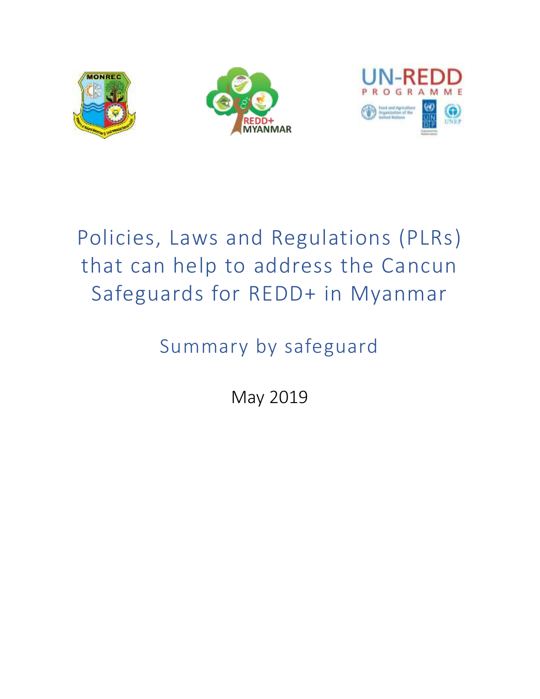



# Policies, Laws and Regulations (PLRs) that can help to address the Cancun Safeguards for REDD+ in Myanmar

# Summary by safeguard

May 2019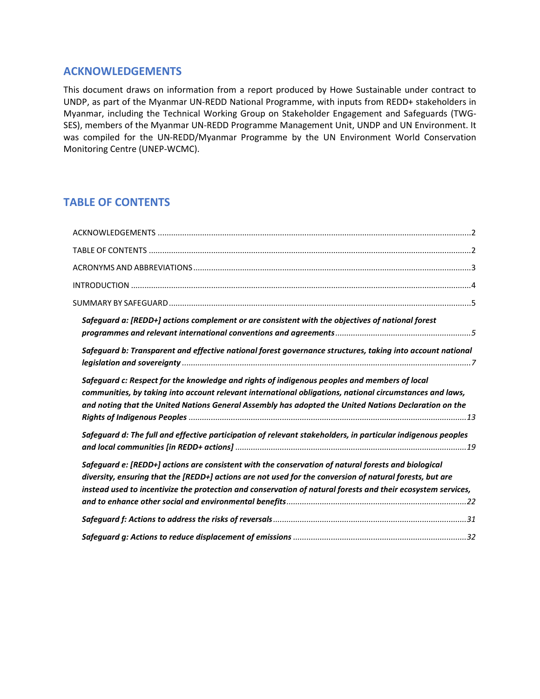## <span id="page-1-0"></span>**ACKNOWLEDGEMENTS**

This document draws on information from a report produced by Howe Sustainable under contract to UNDP, as part of the Myanmar UN-REDD National Programme, with inputs from REDD+ stakeholders in Myanmar, including the Technical Working Group on Stakeholder Engagement and Safeguards (TWG-SES), members of the Myanmar UN-REDD Programme Management Unit, UNDP and UN Environment. It was compiled for the UN-REDD/Myanmar Programme by the UN Environment World Conservation Monitoring Centre (UNEP-WCMC).

# <span id="page-1-1"></span>**TABLE OF CONTENTS**

| Safeguard a: [REDD+] actions complement or are consistent with the objectives of national forest                                                                                                                                                                                                                                |  |
|---------------------------------------------------------------------------------------------------------------------------------------------------------------------------------------------------------------------------------------------------------------------------------------------------------------------------------|--|
|                                                                                                                                                                                                                                                                                                                                 |  |
| Safeguard b: Transparent and effective national forest governance structures, taking into account national                                                                                                                                                                                                                      |  |
| Safeguard c: Respect for the knowledge and rights of indigenous peoples and members of local<br>communities, by taking into account relevant international obligations, national circumstances and laws,<br>and noting that the United Nations General Assembly has adopted the United Nations Declaration on the               |  |
| Safeguard d: The full and effective participation of relevant stakeholders, in particular indigenous peoples                                                                                                                                                                                                                    |  |
| Safeguard e: [REDD+] actions are consistent with the conservation of natural forests and biological<br>diversity, ensuring that the [REDD+] actions are not used for the conversion of natural forests, but are<br>instead used to incentivize the protection and conservation of natural forests and their ecosystem services, |  |
|                                                                                                                                                                                                                                                                                                                                 |  |
|                                                                                                                                                                                                                                                                                                                                 |  |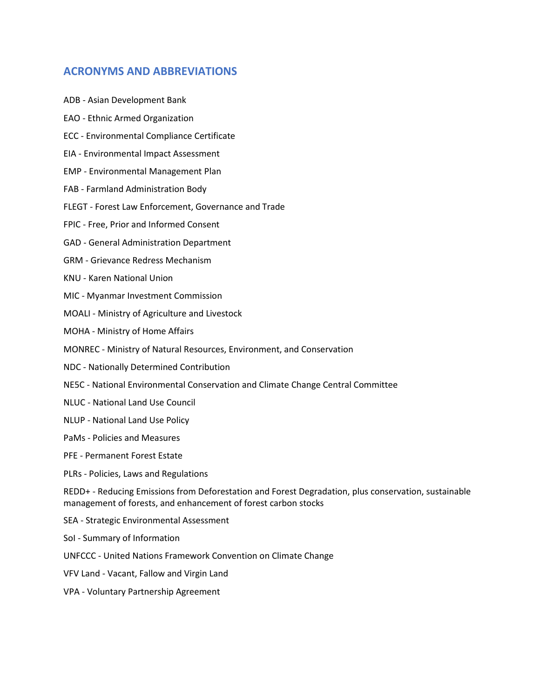## <span id="page-2-0"></span>**ACRONYMS AND ABBREVIATIONS**

- ADB Asian Development Bank
- EAO Ethnic Armed Organization
- ECC Environmental Compliance Certificate
- EIA Environmental Impact Assessment
- EMP Environmental Management Plan
- FAB Farmland Administration Body
- FLEGT Forest Law Enforcement, Governance and Trade
- FPIC Free, Prior and Informed Consent
- GAD General Administration Department
- GRM Grievance Redress Mechanism
- KNU Karen National Union
- MIC Myanmar Investment Commission
- MOALI Ministry of Agriculture and Livestock
- MOHA Ministry of Home Affairs
- MONREC Ministry of Natural Resources, Environment, and Conservation
- NDC Nationally Determined Contribution
- NE5C National Environmental Conservation and Climate Change Central Committee
- NLUC National Land Use Council
- NLUP National Land Use Policy
- PaMs Policies and Measures
- PFE Permanent Forest Estate
- PLRs Policies, Laws and Regulations

REDD+ - Reducing Emissions from Deforestation and Forest Degradation, plus conservation, sustainable management of forests, and enhancement of forest carbon stocks

- SEA Strategic Environmental Assessment
- SoI Summary of Information
- UNFCCC United Nations Framework Convention on Climate Change
- VFV Land Vacant, Fallow and Virgin Land
- VPA Voluntary Partnership Agreement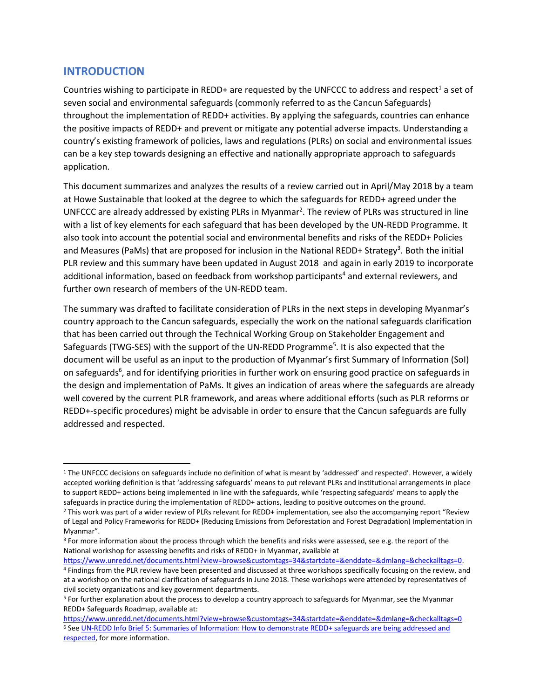## <span id="page-3-0"></span>**INTRODUCTION**

l

Countries wishing to participate in REDD+ are requested by the UNFCCC to address and respect<sup>1</sup> a set of seven social and environmental safeguards (commonly referred to as the Cancun Safeguards) throughout the implementation of REDD+ activities. By applying the safeguards, countries can enhance the positive impacts of REDD+ and prevent or mitigate any potential adverse impacts. Understanding a country's existing framework of policies, laws and regulations (PLRs) on social and environmental issues can be a key step towards designing an effective and nationally appropriate approach to safeguards application.

This document summarizes and analyzes the results of a review carried out in April/May 2018 by a team at Howe Sustainable that looked at the degree to which the safeguards for REDD+ agreed under the UNFCCC are already addressed by existing PLRs in Myanmar<sup>2</sup>. The review of PLRs was structured in line with a list of key elements for each safeguard that has been developed by the UN-REDD Programme. It also took into account the potential social and environmental benefits and risks of the REDD+ Policies and Measures (PaMs) that are proposed for inclusion in the National REDD+ Strategy<sup>3</sup>. Both the initial PLR review and this summary have been updated in August 2018 and again in early 2019 to incorporate additional information, based on feedback from workshop participants<sup>4</sup> and external reviewers, and further own research of members of the UN-REDD team.

The summary was drafted to facilitate consideration of PLRs in the next steps in developing Myanmar's country approach to the Cancun safeguards, especially the work on the national safeguards clarification that has been carried out through the Technical Working Group on Stakeholder Engagement and Safeguards (TWG-SES) with the support of the UN-REDD Programme<sup>5</sup>. It is also expected that the document will be useful as an input to the production of Myanmar's first Summary of Information (SoI) on safeguards<sup>6</sup>, and for identifying priorities in further work on ensuring good practice on safeguards in the design and implementation of PaMs. It gives an indication of areas where the safeguards are already well covered by the current PLR framework, and areas where additional efforts (such as PLR reforms or REDD+-specific procedures) might be advisable in order to ensure that the Cancun safeguards are fully addressed and respected.

[https://www.unredd.net/documents.html?view=browse&customtags=34&startdate=&enddate=&dmlang=&checkalltags=0.](https://www.unredd.net/documents.html?view=browse&customtags=34&startdate=&enddate=&dmlang=&checkalltags=0)

<sup>1</sup> The UNFCCC decisions on safeguards include no definition of what is meant by 'addressed' and respected'. However, a widely accepted working definition is that 'addressing safeguards' means to put relevant PLRs and institutional arrangements in place to support REDD+ actions being implemented in line with the safeguards, while 'respecting safeguards' means to apply the safeguards in practice during the implementation of REDD+ actions, leading to positive outcomes on the ground.

<sup>2</sup> This work was part of a wider review of PLRs relevant for REDD+ implementation, see also the accompanying report "Review of Legal and Policy Frameworks for REDD+ (Reducing Emissions from Deforestation and Forest Degradation) Implementation in Myanmar".

<sup>&</sup>lt;sup>3</sup> For more information about the process through which the benefits and risks were assessed, see e.g. the report of the National workshop for assessing benefits and risks of REDD+ in Myanmar, available at

<sup>4</sup> Findings from the PLR review have been presented and discussed at three workshops specifically focusing on the review, and at a workshop on the national clarification of safeguards in June 2018. These workshops were attended by representatives of civil society organizations and key government departments.

<sup>5</sup> For further explanation about the process to develop a country approach to safeguards for Myanmar, see the Myanmar REDD+ Safeguards Roadmap, available at:

<https://www.unredd.net/documents.html?view=browse&customtags=34&startdate=&enddate=&dmlang=&checkalltags=0> <sup>6</sup> Se[e UN-REDD Info Brief 5: Summaries of Information: How to demonstrate REDD+ safeguards are being addressed and](https://www.unredd.net/documents/global-programme-191/safeguards-multiple-benefits-297/15299-info-brief-summaries-of-information-1-en.html)  [respected,](https://www.unredd.net/documents/global-programme-191/safeguards-multiple-benefits-297/15299-info-brief-summaries-of-information-1-en.html) for more information.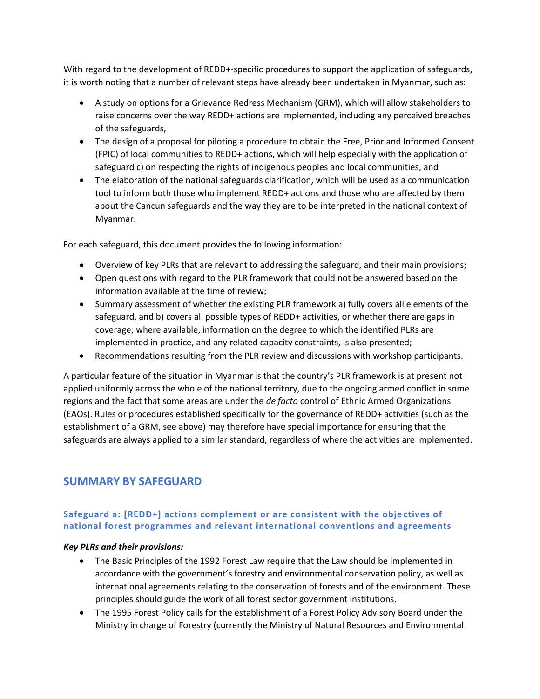With regard to the development of REDD+-specific procedures to support the application of safeguards, it is worth noting that a number of relevant steps have already been undertaken in Myanmar, such as:

- A study on options for a Grievance Redress Mechanism (GRM), which will allow stakeholders to raise concerns over the way REDD+ actions are implemented, including any perceived breaches of the safeguards,
- The design of a proposal for piloting a procedure to obtain the Free, Prior and Informed Consent (FPIC) of local communities to REDD+ actions, which will help especially with the application of safeguard c) on respecting the rights of indigenous peoples and local communities, and
- The elaboration of the national safeguards clarification, which will be used as a communication tool to inform both those who implement REDD+ actions and those who are affected by them about the Cancun safeguards and the way they are to be interpreted in the national context of Myanmar.

For each safeguard, this document provides the following information:

- Overview of key PLRs that are relevant to addressing the safeguard, and their main provisions;
- Open questions with regard to the PLR framework that could not be answered based on the information available at the time of review;
- Summary assessment of whether the existing PLR framework a) fully covers all elements of the safeguard, and b) covers all possible types of REDD+ activities, or whether there are gaps in coverage; where available, information on the degree to which the identified PLRs are implemented in practice, and any related capacity constraints, is also presented;
- Recommendations resulting from the PLR review and discussions with workshop participants.

A particular feature of the situation in Myanmar is that the country's PLR framework is at present not applied uniformly across the whole of the national territory, due to the ongoing armed conflict in some regions and the fact that some areas are under the *de facto* control of Ethnic Armed Organizations (EAOs). Rules or procedures established specifically for the governance of REDD+ activities (such as the establishment of a GRM, see above) may therefore have special importance for ensuring that the safeguards are always applied to a similar standard, regardless of where the activities are implemented.

## <span id="page-4-0"></span>**SUMMARY BY SAFEGUARD**

## <span id="page-4-1"></span>**Safeguard a: [REDD+] actions complement or are consistent with the obje ctives of national forest programmes and relevant international conventions and agreements**

#### *Key PLRs and their provisions:*

- The Basic Principles of the 1992 Forest Law require that the Law should be implemented in accordance with the government's forestry and environmental conservation policy, as well as international agreements relating to the conservation of forests and of the environment. These principles should guide the work of all forest sector government institutions.
- The 1995 Forest Policy calls for the establishment of a Forest Policy Advisory Board under the Ministry in charge of Forestry (currently the Ministry of Natural Resources and Environmental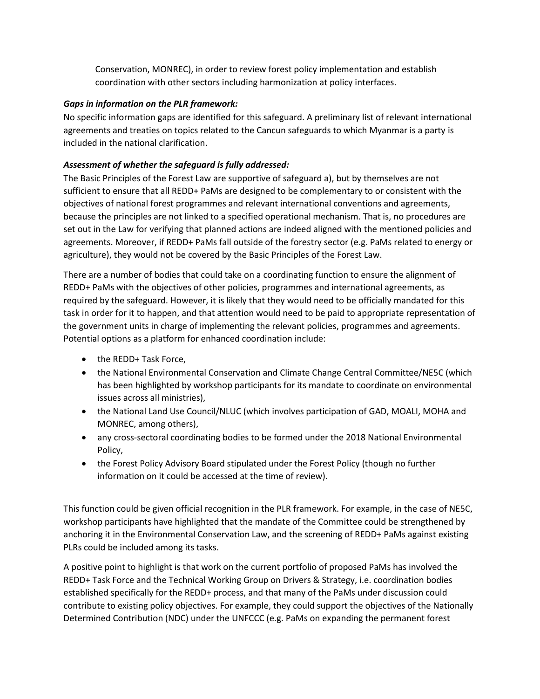Conservation, MONREC), in order to review forest policy implementation and establish coordination with other sectors including harmonization at policy interfaces.

## *Gaps in information on the PLR framework:*

No specific information gaps are identified for this safeguard. A preliminary list of relevant international agreements and treaties on topics related to the Cancun safeguards to which Myanmar is a party is included in the national clarification.

## *Assessment of whether the safeguard is fully addressed:*

The Basic Principles of the Forest Law are supportive of safeguard a), but by themselves are not sufficient to ensure that all REDD+ PaMs are designed to be complementary to or consistent with the objectives of national forest programmes and relevant international conventions and agreements, because the principles are not linked to a specified operational mechanism. That is, no procedures are set out in the Law for verifying that planned actions are indeed aligned with the mentioned policies and agreements. Moreover, if REDD+ PaMs fall outside of the forestry sector (e.g. PaMs related to energy or agriculture), they would not be covered by the Basic Principles of the Forest Law.

There are a number of bodies that could take on a coordinating function to ensure the alignment of REDD+ PaMs with the objectives of other policies, programmes and international agreements, as required by the safeguard. However, it is likely that they would need to be officially mandated for this task in order for it to happen, and that attention would need to be paid to appropriate representation of the government units in charge of implementing the relevant policies, programmes and agreements. Potential options as a platform for enhanced coordination include:

- the REDD+ Task Force,
- the National Environmental Conservation and Climate Change Central Committee/NE5C (which has been highlighted by workshop participants for its mandate to coordinate on environmental issues across all ministries),
- the National Land Use Council/NLUC (which involves participation of GAD, MOALI, MOHA and MONREC, among others),
- any cross-sectoral coordinating bodies to be formed under the 2018 National Environmental Policy,
- the Forest Policy Advisory Board stipulated under the Forest Policy (though no further information on it could be accessed at the time of review).

This function could be given official recognition in the PLR framework. For example, in the case of NE5C, workshop participants have highlighted that the mandate of the Committee could be strengthened by anchoring it in the Environmental Conservation Law, and the screening of REDD+ PaMs against existing PLRs could be included among its tasks.

A positive point to highlight is that work on the current portfolio of proposed PaMs has involved the REDD+ Task Force and the Technical Working Group on Drivers & Strategy, i.e. coordination bodies established specifically for the REDD+ process, and that many of the PaMs under discussion could contribute to existing policy objectives. For example, they could support the objectives of the Nationally Determined Contribution (NDC) under the UNFCCC (e.g. PaMs on expanding the permanent forest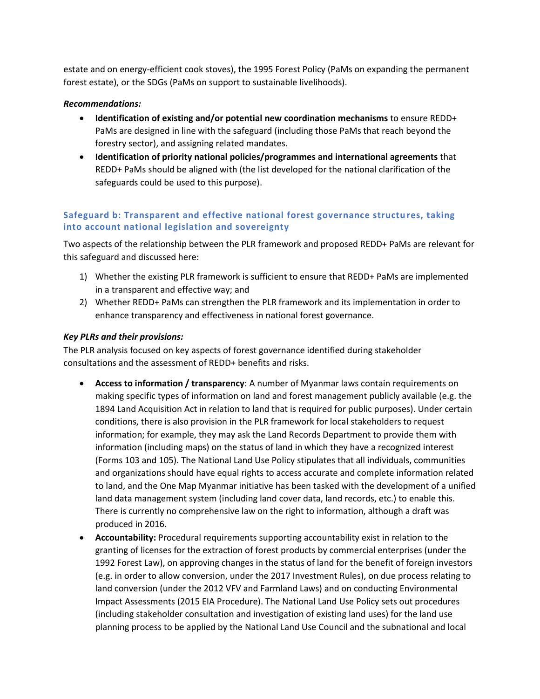estate and on energy-efficient cook stoves), the 1995 Forest Policy (PaMs on expanding the permanent forest estate), or the SDGs (PaMs on support to sustainable livelihoods).

#### *Recommendations:*

- **Identification of existing and/or potential new coordination mechanisms** to ensure REDD+ PaMs are designed in line with the safeguard (including those PaMs that reach beyond the forestry sector), and assigning related mandates.
- **Identification of priority national policies/programmes and international agreements** that REDD+ PaMs should be aligned with (the list developed for the national clarification of the safeguards could be used to this purpose).

## <span id="page-6-0"></span>**Safeguard b: Transparent and effective national forest governance structu res, taking into account national legislation and sovereignty**

Two aspects of the relationship between the PLR framework and proposed REDD+ PaMs are relevant for this safeguard and discussed here:

- 1) Whether the existing PLR framework is sufficient to ensure that REDD+ PaMs are implemented in a transparent and effective way; and
- 2) Whether REDD+ PaMs can strengthen the PLR framework and its implementation in order to enhance transparency and effectiveness in national forest governance.

#### *Key PLRs and their provisions:*

The PLR analysis focused on key aspects of forest governance identified during stakeholder consultations and the assessment of REDD+ benefits and risks.

- **Access to information / transparency**: A number of Myanmar laws contain requirements on making specific types of information on land and forest management publicly available (e.g. the 1894 Land Acquisition Act in relation to land that is required for public purposes). Under certain conditions, there is also provision in the PLR framework for local stakeholders to request information; for example, they may ask the Land Records Department to provide them with information (including maps) on the status of land in which they have a recognized interest (Forms 103 and 105). The National Land Use Policy stipulates that all individuals, communities and organizations should have equal rights to access accurate and complete information related to land, and the One Map Myanmar initiative has been tasked with the development of a unified land data management system (including land cover data, land records, etc.) to enable this. There is currently no comprehensive law on the right to information, although a draft was produced in 2016.
- **Accountability:** Procedural requirements supporting accountability exist in relation to the granting of licenses for the extraction of forest products by commercial enterprises (under the 1992 Forest Law), on approving changes in the status of land for the benefit of foreign investors (e.g. in order to allow conversion, under the 2017 Investment Rules), on due process relating to land conversion (under the 2012 VFV and Farmland Laws) and on conducting Environmental Impact Assessments (2015 EIA Procedure). The National Land Use Policy sets out procedures (including stakeholder consultation and investigation of existing land uses) for the land use planning process to be applied by the National Land Use Council and the subnational and local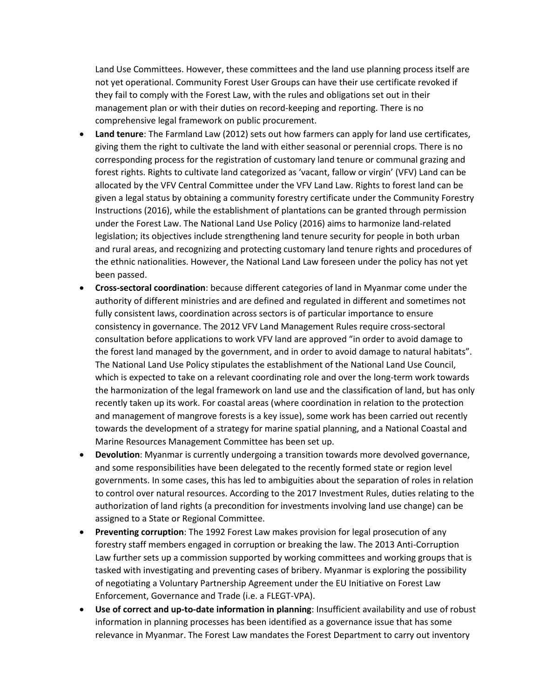Land Use Committees. However, these committees and the land use planning process itself are not yet operational. Community Forest User Groups can have their use certificate revoked if they fail to comply with the Forest Law, with the rules and obligations set out in their management plan or with their duties on record-keeping and reporting. There is no comprehensive legal framework on public procurement.

- **Land tenure**: The Farmland Law (2012) sets out how farmers can apply for land use certificates, giving them the right to cultivate the land with either seasonal or perennial crops. There is no corresponding process for the registration of customary land tenure or communal grazing and forest rights. Rights to cultivate land categorized as 'vacant, fallow or virgin' (VFV) Land can be allocated by the VFV Central Committee under the VFV Land Law. Rights to forest land can be given a legal status by obtaining a community forestry certificate under the Community Forestry Instructions (2016), while the establishment of plantations can be granted through permission under the Forest Law. The National Land Use Policy (2016) aims to harmonize land-related legislation; its objectives include strengthening land tenure security for people in both urban and rural areas, and recognizing and protecting customary land tenure rights and procedures of the ethnic nationalities. However, the National Land Law foreseen under the policy has not yet been passed.
- **Cross-sectoral coordination**: because different categories of land in Myanmar come under the authority of different ministries and are defined and regulated in different and sometimes not fully consistent laws, coordination across sectors is of particular importance to ensure consistency in governance. The 2012 VFV Land Management Rules require cross-sectoral consultation before applications to work VFV land are approved "in order to avoid damage to the forest land managed by the government, and in order to avoid damage to natural habitats". The National Land Use Policy stipulates the establishment of the National Land Use Council, which is expected to take on a relevant coordinating role and over the long-term work towards the harmonization of the legal framework on land use and the classification of land, but has only recently taken up its work. For coastal areas (where coordination in relation to the protection and management of mangrove forests is a key issue), some work has been carried out recently towards the development of a strategy for marine spatial planning, and a National Coastal and Marine Resources Management Committee has been set up.
- **Devolution**: Myanmar is currently undergoing a transition towards more devolved governance, and some responsibilities have been delegated to the recently formed state or region level governments. In some cases, this has led to ambiguities about the separation of roles in relation to control over natural resources. According to the 2017 Investment Rules, duties relating to the authorization of land rights (a precondition for investments involving land use change) can be assigned to a State or Regional Committee.
- **Preventing corruption**: The 1992 Forest Law makes provision for legal prosecution of any forestry staff members engaged in corruption or breaking the law. The 2013 Anti-Corruption Law further sets up a commission supported by working committees and working groups that is tasked with investigating and preventing cases of bribery. Myanmar is exploring the possibility of negotiating a Voluntary Partnership Agreement under the EU Initiative on Forest Law Enforcement, Governance and Trade (i.e. a FLEGT-VPA).
- **Use of correct and up-to-date information in planning**: Insufficient availability and use of robust information in planning processes has been identified as a governance issue that has some relevance in Myanmar. The Forest Law mandates the Forest Department to carry out inventory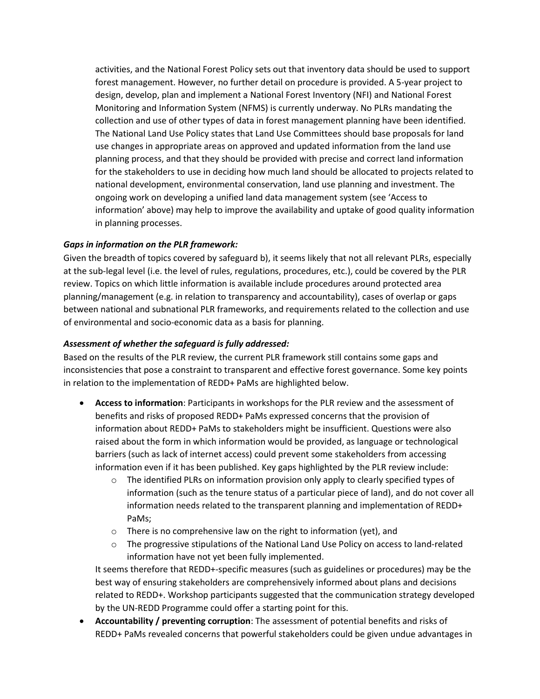activities, and the National Forest Policy sets out that inventory data should be used to support forest management. However, no further detail on procedure is provided. A 5-year project to design, develop, plan and implement a National Forest Inventory (NFI) and National Forest Monitoring and Information System (NFMS) is currently underway. No PLRs mandating the collection and use of other types of data in forest management planning have been identified. The National Land Use Policy states that Land Use Committees should base proposals for land use changes in appropriate areas on approved and updated information from the land use planning process, and that they should be provided with precise and correct land information for the stakeholders to use in deciding how much land should be allocated to projects related to national development, environmental conservation, land use planning and investment. The ongoing work on developing a unified land data management system (see 'Access to information' above) may help to improve the availability and uptake of good quality information in planning processes.

#### *Gaps in information on the PLR framework:*

Given the breadth of topics covered by safeguard b), it seems likely that not all relevant PLRs, especially at the sub-legal level (i.e. the level of rules, regulations, procedures, etc.), could be covered by the PLR review. Topics on which little information is available include procedures around protected area planning/management (e.g. in relation to transparency and accountability), cases of overlap or gaps between national and subnational PLR frameworks, and requirements related to the collection and use of environmental and socio-economic data as a basis for planning.

#### *Assessment of whether the safeguard is fully addressed:*

Based on the results of the PLR review, the current PLR framework still contains some gaps and inconsistencies that pose a constraint to transparent and effective forest governance. Some key points in relation to the implementation of REDD+ PaMs are highlighted below.

- **Access to information**: Participants in workshops for the PLR review and the assessment of benefits and risks of proposed REDD+ PaMs expressed concerns that the provision of information about REDD+ PaMs to stakeholders might be insufficient. Questions were also raised about the form in which information would be provided, as language or technological barriers (such as lack of internet access) could prevent some stakeholders from accessing information even if it has been published. Key gaps highlighted by the PLR review include:
	- $\circ$  The identified PLRs on information provision only apply to clearly specified types of information (such as the tenure status of a particular piece of land), and do not cover all information needs related to the transparent planning and implementation of REDD+ PaMs;
	- $\circ$  There is no comprehensive law on the right to information (yet), and
	- $\circ$  The progressive stipulations of the National Land Use Policy on access to land-related information have not yet been fully implemented.

It seems therefore that REDD+-specific measures (such as guidelines or procedures) may be the best way of ensuring stakeholders are comprehensively informed about plans and decisions related to REDD+. Workshop participants suggested that the communication strategy developed by the UN-REDD Programme could offer a starting point for this.

 **Accountability / preventing corruption**: The assessment of potential benefits and risks of REDD+ PaMs revealed concerns that powerful stakeholders could be given undue advantages in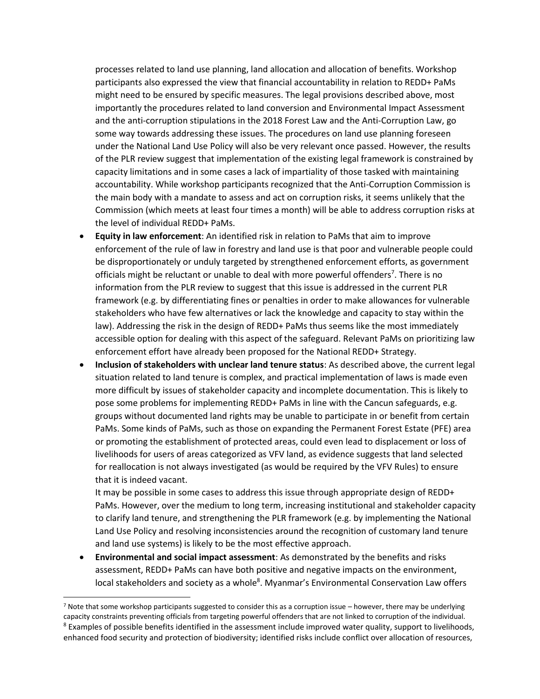processes related to land use planning, land allocation and allocation of benefits. Workshop participants also expressed the view that financial accountability in relation to REDD+ PaMs might need to be ensured by specific measures. The legal provisions described above, most importantly the procedures related to land conversion and Environmental Impact Assessment and the anti-corruption stipulations in the 2018 Forest Law and the Anti-Corruption Law, go some way towards addressing these issues. The procedures on land use planning foreseen under the National Land Use Policy will also be very relevant once passed. However, the results of the PLR review suggest that implementation of the existing legal framework is constrained by capacity limitations and in some cases a lack of impartiality of those tasked with maintaining accountability. While workshop participants recognized that the Anti-Corruption Commission is the main body with a mandate to assess and act on corruption risks, it seems unlikely that the Commission (which meets at least four times a month) will be able to address corruption risks at the level of individual REDD+ PaMs.

- **Equity in law enforcement**: An identified risk in relation to PaMs that aim to improve enforcement of the rule of law in forestry and land use is that poor and vulnerable people could be disproportionately or unduly targeted by strengthened enforcement efforts, as government officials might be reluctant or unable to deal with more powerful offenders<sup>7</sup>. There is no information from the PLR review to suggest that this issue is addressed in the current PLR framework (e.g. by differentiating fines or penalties in order to make allowances for vulnerable stakeholders who have few alternatives or lack the knowledge and capacity to stay within the law). Addressing the risk in the design of REDD+ PaMs thus seems like the most immediately accessible option for dealing with this aspect of the safeguard. Relevant PaMs on prioritizing law enforcement effort have already been proposed for the National REDD+ Strategy.
- **Inclusion of stakeholders with unclear land tenure status**: As described above, the current legal situation related to land tenure is complex, and practical implementation of laws is made even more difficult by issues of stakeholder capacity and incomplete documentation. This is likely to pose some problems for implementing REDD+ PaMs in line with the Cancun safeguards, e.g. groups without documented land rights may be unable to participate in or benefit from certain PaMs. Some kinds of PaMs, such as those on expanding the Permanent Forest Estate (PFE) area or promoting the establishment of protected areas, could even lead to displacement or loss of livelihoods for users of areas categorized as VFV land, as evidence suggests that land selected for reallocation is not always investigated (as would be required by the VFV Rules) to ensure that it is indeed vacant.

It may be possible in some cases to address this issue through appropriate design of REDD+ PaMs. However, over the medium to long term, increasing institutional and stakeholder capacity to clarify land tenure, and strengthening the PLR framework (e.g. by implementing the National Land Use Policy and resolving inconsistencies around the recognition of customary land tenure and land use systems) is likely to be the most effective approach.

 **Environmental and social impact assessment**: As demonstrated by the benefits and risks assessment, REDD+ PaMs can have both positive and negative impacts on the environment, local stakeholders and society as a whole<sup>8</sup>. Myanmar's Environmental Conservation Law offers

 $\overline{a}$ 

<sup>7</sup> Note that some workshop participants suggested to consider this as a corruption issue – however, there may be underlying capacity constraints preventing officials from targeting powerful offenders that are not linked to corruption of the individual. <sup>8</sup> Examples of possible benefits identified in the assessment include improved water quality, support to livelihoods, enhanced food security and protection of biodiversity; identified risks include conflict over allocation of resources,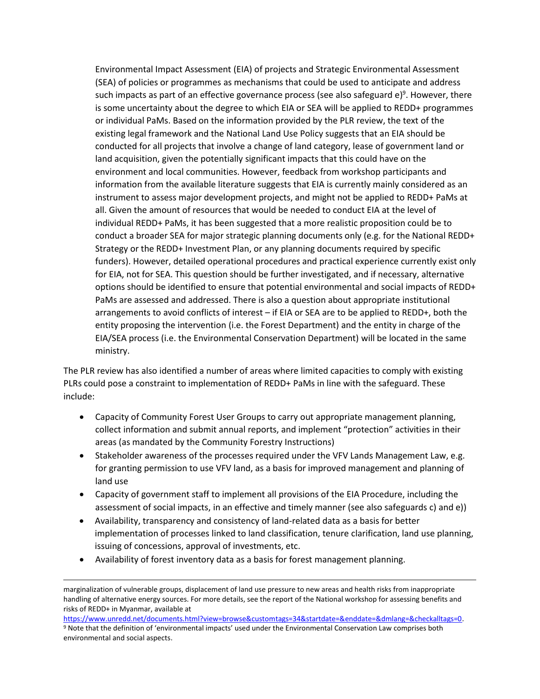Environmental Impact Assessment (EIA) of projects and Strategic Environmental Assessment (SEA) of policies or programmes as mechanisms that could be used to anticipate and address such impacts as part of an effective governance process (see also safeguard e)<sup>9</sup>. However, there is some uncertainty about the degree to which EIA or SEA will be applied to REDD+ programmes or individual PaMs. Based on the information provided by the PLR review, the text of the existing legal framework and the National Land Use Policy suggests that an EIA should be conducted for all projects that involve a change of land category, lease of government land or land acquisition, given the potentially significant impacts that this could have on the environment and local communities. However, feedback from workshop participants and information from the available literature suggests that EIA is currently mainly considered as an instrument to assess major development projects, and might not be applied to REDD+ PaMs at all. Given the amount of resources that would be needed to conduct EIA at the level of individual REDD+ PaMs, it has been suggested that a more realistic proposition could be to conduct a broader SEA for major strategic planning documents only (e.g. for the National REDD+ Strategy or the REDD+ Investment Plan, or any planning documents required by specific funders). However, detailed operational procedures and practical experience currently exist only for EIA, not for SEA. This question should be further investigated, and if necessary, alternative options should be identified to ensure that potential environmental and social impacts of REDD+ PaMs are assessed and addressed. There is also a question about appropriate institutional arrangements to avoid conflicts of interest – if EIA or SEA are to be applied to REDD+, both the entity proposing the intervention (i.e. the Forest Department) and the entity in charge of the EIA/SEA process (i.e. the Environmental Conservation Department) will be located in the same ministry.

The PLR review has also identified a number of areas where limited capacities to comply with existing PLRs could pose a constraint to implementation of REDD+ PaMs in line with the safeguard. These include:

- Capacity of Community Forest User Groups to carry out appropriate management planning, collect information and submit annual reports, and implement "protection" activities in their areas (as mandated by the Community Forestry Instructions)
- Stakeholder awareness of the processes required under the VFV Lands Management Law, e.g. for granting permission to use VFV land, as a basis for improved management and planning of land use
- Capacity of government staff to implement all provisions of the EIA Procedure, including the assessment of social impacts, in an effective and timely manner (see also safeguards c) and e))
- Availability, transparency and consistency of land-related data as a basis for better implementation of processes linked to land classification, tenure clarification, land use planning, issuing of concessions, approval of investments, etc.
- Availability of forest inventory data as a basis for forest management planning.

 $\overline{a}$ 

marginalization of vulnerable groups, displacement of land use pressure to new areas and health risks from inappropriate handling of alternative energy sources. For more details, see the report of the National workshop for assessing benefits and risks of REDD+ in Myanmar, available at

[https://www.unredd.net/documents.html?view=browse&customtags=34&startdate=&enddate=&dmlang=&checkalltags=0.](https://www.unredd.net/documents.html?view=browse&customtags=34&startdate=&enddate=&dmlang=&checkalltags=0) <sup>9</sup> Note that the definition of 'environmental impacts' used under the Environmental Conservation Law comprises both environmental and social aspects.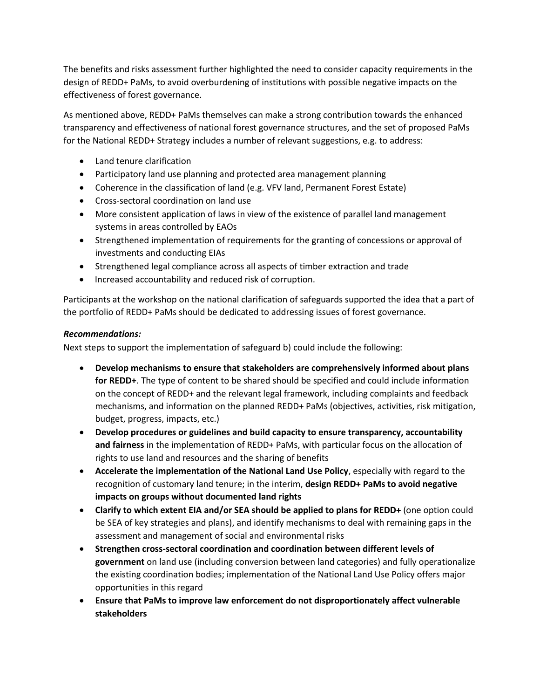The benefits and risks assessment further highlighted the need to consider capacity requirements in the design of REDD+ PaMs, to avoid overburdening of institutions with possible negative impacts on the effectiveness of forest governance.

As mentioned above, REDD+ PaMs themselves can make a strong contribution towards the enhanced transparency and effectiveness of national forest governance structures, and the set of proposed PaMs for the National REDD+ Strategy includes a number of relevant suggestions, e.g. to address:

- Land tenure clarification
- Participatory land use planning and protected area management planning
- Coherence in the classification of land (e.g. VFV land, Permanent Forest Estate)
- Cross-sectoral coordination on land use
- More consistent application of laws in view of the existence of parallel land management systems in areas controlled by EAOs
- Strengthened implementation of requirements for the granting of concessions or approval of investments and conducting EIAs
- Strengthened legal compliance across all aspects of timber extraction and trade
- Increased accountability and reduced risk of corruption.

Participants at the workshop on the national clarification of safeguards supported the idea that a part of the portfolio of REDD+ PaMs should be dedicated to addressing issues of forest governance.

#### *Recommendations:*

Next steps to support the implementation of safeguard b) could include the following:

- **Develop mechanisms to ensure that stakeholders are comprehensively informed about plans for REDD+**. The type of content to be shared should be specified and could include information on the concept of REDD+ and the relevant legal framework, including complaints and feedback mechanisms, and information on the planned REDD+ PaMs (objectives, activities, risk mitigation, budget, progress, impacts, etc.)
- **Develop procedures or guidelines and build capacity to ensure transparency, accountability and fairness** in the implementation of REDD+ PaMs, with particular focus on the allocation of rights to use land and resources and the sharing of benefits
- **Accelerate the implementation of the National Land Use Policy**, especially with regard to the recognition of customary land tenure; in the interim, **design REDD+ PaMs to avoid negative impacts on groups without documented land rights**
- **Clarify to which extent EIA and/or SEA should be applied to plans for REDD+** (one option could be SEA of key strategies and plans), and identify mechanisms to deal with remaining gaps in the assessment and management of social and environmental risks
- **Strengthen cross-sectoral coordination and coordination between different levels of government** on land use (including conversion between land categories) and fully operationalize the existing coordination bodies; implementation of the National Land Use Policy offers major opportunities in this regard
- **Ensure that PaMs to improve law enforcement do not disproportionately affect vulnerable stakeholders**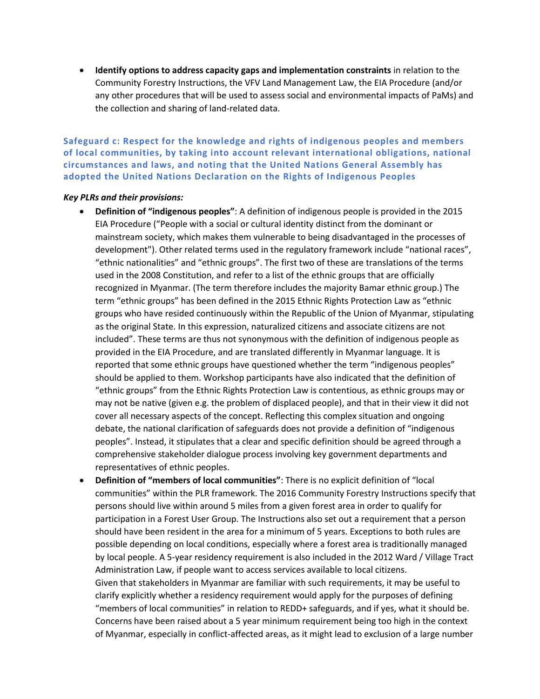**Identify options to address capacity gaps and implementation constraints** in relation to the Community Forestry Instructions, the VFV Land Management Law, the EIA Procedure (and/or any other procedures that will be used to assess social and environmental impacts of PaMs) and the collection and sharing of land-related data.

<span id="page-12-0"></span>**Safeguard c: Respect for the knowledge and rights of indigenous peoples and members of local communities, by taking into account relevant international obligations, national circumstances and laws, and noting that the United Nations General Assembly has adopted the United Nations Declaration on the Rights of Indigenous Peoples**

#### *Key PLRs and their provisions:*

- **Definition of "indigenous peoples"**: A definition of indigenous people is provided in the 2015 EIA Procedure ("People with a social or cultural identity distinct from the dominant or mainstream society, which makes them vulnerable to being disadvantaged in the processes of development"). Other related terms used in the regulatory framework include "national races", "ethnic nationalities" and "ethnic groups". The first two of these are translations of the terms used in the 2008 Constitution, and refer to a list of the ethnic groups that are officially recognized in Myanmar. (The term therefore includes the majority Bamar ethnic group.) The term "ethnic groups" has been defined in the 2015 Ethnic Rights Protection Law as "ethnic groups who have resided continuously within the Republic of the Union of Myanmar, stipulating as the original State. In this expression, naturalized citizens and associate citizens are not included". These terms are thus not synonymous with the definition of indigenous people as provided in the EIA Procedure, and are translated differently in Myanmar language. It is reported that some ethnic groups have questioned whether the term "indigenous peoples" should be applied to them. Workshop participants have also indicated that the definition of "ethnic groups" from the Ethnic Rights Protection Law is contentious, as ethnic groups may or may not be native (given e.g. the problem of displaced people), and that in their view it did not cover all necessary aspects of the concept. Reflecting this complex situation and ongoing debate, the national clarification of safeguards does not provide a definition of "indigenous peoples". Instead, it stipulates that a clear and specific definition should be agreed through a comprehensive stakeholder dialogue process involving key government departments and representatives of ethnic peoples.
- **Definition of "members of local communities"**: There is no explicit definition of "local communities" within the PLR framework. The 2016 Community Forestry Instructions specify that persons should live within around 5 miles from a given forest area in order to qualify for participation in a Forest User Group. The Instructions also set out a requirement that a person should have been resident in the area for a minimum of 5 years. Exceptions to both rules are possible depending on local conditions, especially where a forest area is traditionally managed by local people. A 5-year residency requirement is also included in the 2012 Ward / Village Tract Administration Law, if people want to access services available to local citizens. Given that stakeholders in Myanmar are familiar with such requirements, it may be useful to clarify explicitly whether a residency requirement would apply for the purposes of defining "members of local communities" in relation to REDD+ safeguards, and if yes, what it should be. Concerns have been raised about a 5 year minimum requirement being too high in the context of Myanmar, especially in conflict-affected areas, as it might lead to exclusion of a large number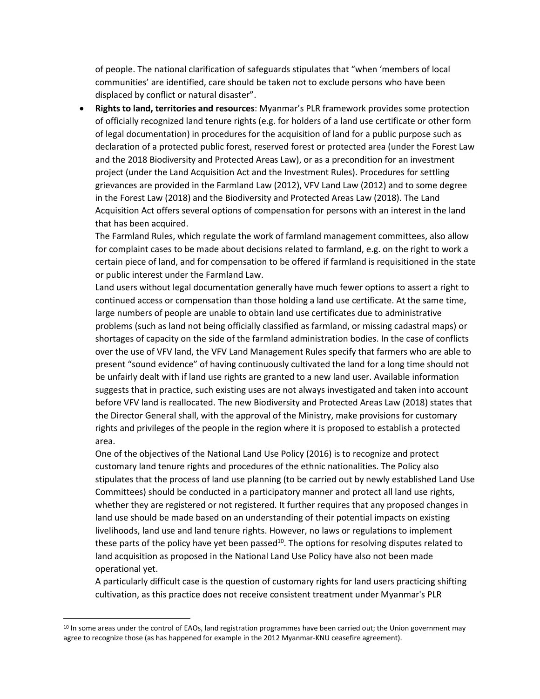of people. The national clarification of safeguards stipulates that "when 'members of local communities' are identified, care should be taken not to exclude persons who have been displaced by conflict or natural disaster".

 **Rights to land, territories and resources**: Myanmar's PLR framework provides some protection of officially recognized land tenure rights (e.g. for holders of a land use certificate or other form of legal documentation) in procedures for the acquisition of land for a public purpose such as declaration of a protected public forest, reserved forest or protected area (under the Forest Law and the 2018 Biodiversity and Protected Areas Law), or as a precondition for an investment project (under the Land Acquisition Act and the Investment Rules). Procedures for settling grievances are provided in the Farmland Law (2012), VFV Land Law (2012) and to some degree in the Forest Law (2018) and the Biodiversity and Protected Areas Law (2018). The Land Acquisition Act offers several options of compensation for persons with an interest in the land that has been acquired.

The Farmland Rules, which regulate the work of farmland management committees, also allow for complaint cases to be made about decisions related to farmland, e.g. on the right to work a certain piece of land, and for compensation to be offered if farmland is requisitioned in the state or public interest under the Farmland Law.

Land users without legal documentation generally have much fewer options to assert a right to continued access or compensation than those holding a land use certificate. At the same time, large numbers of people are unable to obtain land use certificates due to administrative problems (such as land not being officially classified as farmland, or missing cadastral maps) or shortages of capacity on the side of the farmland administration bodies. In the case of conflicts over the use of VFV land, the VFV Land Management Rules specify that farmers who are able to present "sound evidence" of having continuously cultivated the land for a long time should not be unfairly dealt with if land use rights are granted to a new land user. Available information suggests that in practice, such existing uses are not always investigated and taken into account before VFV land is reallocated. The new Biodiversity and Protected Areas Law (2018) states that the Director General shall, with the approval of the Ministry, make provisions for customary rights and privileges of the people in the region where it is proposed to establish a protected area.

One of the objectives of the National Land Use Policy (2016) is to recognize and protect customary land tenure rights and procedures of the ethnic nationalities. The Policy also stipulates that the process of land use planning (to be carried out by newly established Land Use Committees) should be conducted in a participatory manner and protect all land use rights, whether they are registered or not registered. It further requires that any proposed changes in land use should be made based on an understanding of their potential impacts on existing livelihoods, land use and land tenure rights. However, no laws or regulations to implement these parts of the policy have yet been passed<sup>10</sup>. The options for resolving disputes related to land acquisition as proposed in the National Land Use Policy have also not been made operational yet.

A particularly difficult case is the question of customary rights for land users practicing shifting cultivation, as this practice does not receive consistent treatment under Myanmar's PLR

 $\overline{a}$ 

 $10$  In some areas under the control of EAOs, land registration programmes have been carried out; the Union government may agree to recognize those (as has happened for example in the 2012 Myanmar-KNU ceasefire agreement).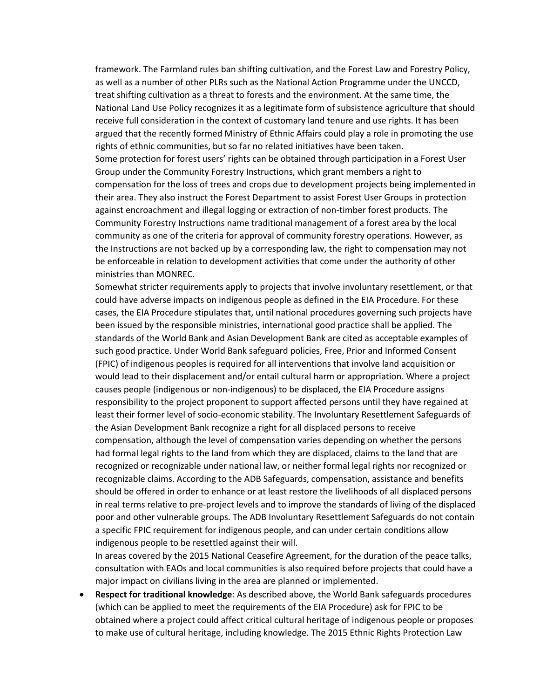framework. The Farmland rules ban shifting cultivation, and the Forest Law and Forestry Policy, as well as a number of other PLRs such as the National Action Programme under the UNCCD, treat shifting cultivation as a threat to forests and the environment. At the same time, the National Land Use Policy recognizes it as a legitimate form of subsistence agriculture that should receive full consideration in the context of customary land tenure and use rights. It has been argued that the recently formed Ministry of Ethnic Affairs could play a role in promoting the use rights of ethnic communities, but so far no related initiatives have been taken. Some protection for forest users' rights can be obtained through participation in a Forest User Group under the Community Forestry Instructions, which grant members a right to compensation for the loss of trees and crops due to development projects being implemented in their area. They also instruct the Forest Department to assist Forest User Groups in protection against encroachment and illegal logging or extraction of non-timber forest products. The Community Forestry Instructions name traditional management of a forest area by the local community as one of the criteria for approval of community forestry operations. However, as the Instructions are not backed up by a corresponding law, the right to compensation may not be enforceable in relation to development activities that come under the authority of other ministries than MONREC.

Somewhat stricter requirements apply to projects that involve involuntary resettlement, or that could have adverse impacts on indigenous people as defined in the EIA Procedure. For these cases, the EIA Procedure stipulates that, until national procedures governing such projects have been issued by the responsible ministries, international good practice shall be applied. The standards of the World Bank and Asian Development Bank are cited as acceptable examples of such good practice. Under World Bank safeguard policies, Free, Prior and Informed Consent (FPIC) of indigenous peoples is required for all interventions that involve land acquisition or would lead to their displacement and/or entail cultural harm or appropriation. Where a project causes people (indigenous or non-indigenous) to be displaced, the EIA Procedure assigns responsibility to the project proponent to support affected persons until they have regained at least their former level of socio-economic stability. The Involuntary Resettlement Safeguards of the Asian Development Bank recognize a right for all displaced persons to receive compensation, although the level of compensation varies depending on whether the persons had formal legal rights to the land from which they are displaced, claims to the land that are recognized or recognizable under national law, or neither formal legal rights nor recognized or recognizable claims. According to the ADB Safeguards, compensation, assistance and benefits should be offered in order to enhance or at least restore the livelihoods of all displaced persons in real terms relative to pre-project levels and to improve the standards of living of the displaced poor and other vulnerable groups. The ADB Involuntary Resettlement Safeguards do not contain a specific FPIC requirement for indigenous people, and can under certain conditions allow indigenous people to be resettled against their will.

In areas covered by the 2015 National Ceasefire Agreement, for the duration of the peace talks, consultation with EAOs and local communities is also required before projects that could have a major impact on civilians living in the area are planned or implemented.

 **Respect for traditional knowledge**: As described above, the World Bank safeguards procedures (which can be applied to meet the requirements of the EIA Procedure) ask for FPIC to be obtained where a project could affect critical cultural heritage of indigenous people or proposes to make use of cultural heritage, including knowledge. The 2015 Ethnic Rights Protection Law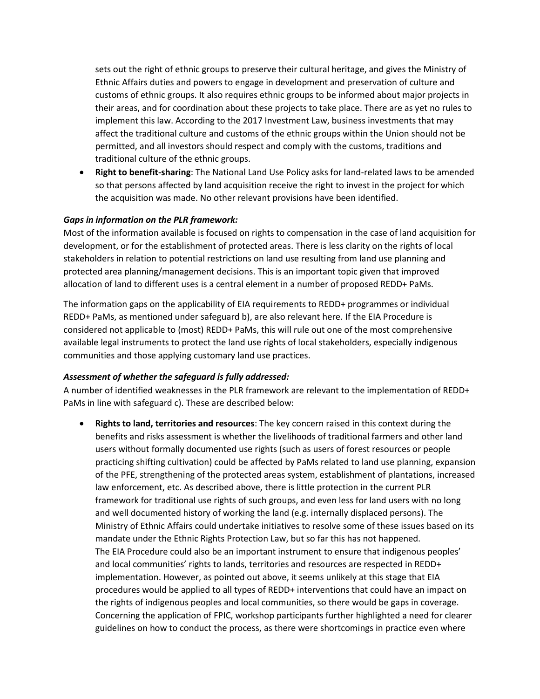sets out the right of ethnic groups to preserve their cultural heritage, and gives the Ministry of Ethnic Affairs duties and powers to engage in development and preservation of culture and customs of ethnic groups. It also requires ethnic groups to be informed about major projects in their areas, and for coordination about these projects to take place. There are as yet no rules to implement this law. According to the 2017 Investment Law, business investments that may affect the traditional culture and customs of the ethnic groups within the Union should not be permitted, and all investors should respect and comply with the customs, traditions and traditional culture of the ethnic groups.

 **Right to benefit-sharing**: The National Land Use Policy asks for land-related laws to be amended so that persons affected by land acquisition receive the right to invest in the project for which the acquisition was made. No other relevant provisions have been identified.

#### *Gaps in information on the PLR framework:*

Most of the information available is focused on rights to compensation in the case of land acquisition for development, or for the establishment of protected areas. There is less clarity on the rights of local stakeholders in relation to potential restrictions on land use resulting from land use planning and protected area planning/management decisions. This is an important topic given that improved allocation of land to different uses is a central element in a number of proposed REDD+ PaMs.

The information gaps on the applicability of EIA requirements to REDD+ programmes or individual REDD+ PaMs, as mentioned under safeguard b), are also relevant here. If the EIA Procedure is considered not applicable to (most) REDD+ PaMs, this will rule out one of the most comprehensive available legal instruments to protect the land use rights of local stakeholders, especially indigenous communities and those applying customary land use practices.

#### *Assessment of whether the safeguard is fully addressed:*

A number of identified weaknesses in the PLR framework are relevant to the implementation of REDD+ PaMs in line with safeguard c). These are described below:

 **Rights to land, territories and resources**: The key concern raised in this context during the benefits and risks assessment is whether the livelihoods of traditional farmers and other land users without formally documented use rights (such as users of forest resources or people practicing shifting cultivation) could be affected by PaMs related to land use planning, expansion of the PFE, strengthening of the protected areas system, establishment of plantations, increased law enforcement, etc. As described above, there is little protection in the current PLR framework for traditional use rights of such groups, and even less for land users with no long and well documented history of working the land (e.g. internally displaced persons). The Ministry of Ethnic Affairs could undertake initiatives to resolve some of these issues based on its mandate under the Ethnic Rights Protection Law, but so far this has not happened. The EIA Procedure could also be an important instrument to ensure that indigenous peoples' and local communities' rights to lands, territories and resources are respected in REDD+ implementation. However, as pointed out above, it seems unlikely at this stage that EIA procedures would be applied to all types of REDD+ interventions that could have an impact on the rights of indigenous peoples and local communities, so there would be gaps in coverage. Concerning the application of FPIC, workshop participants further highlighted a need for clearer guidelines on how to conduct the process, as there were shortcomings in practice even where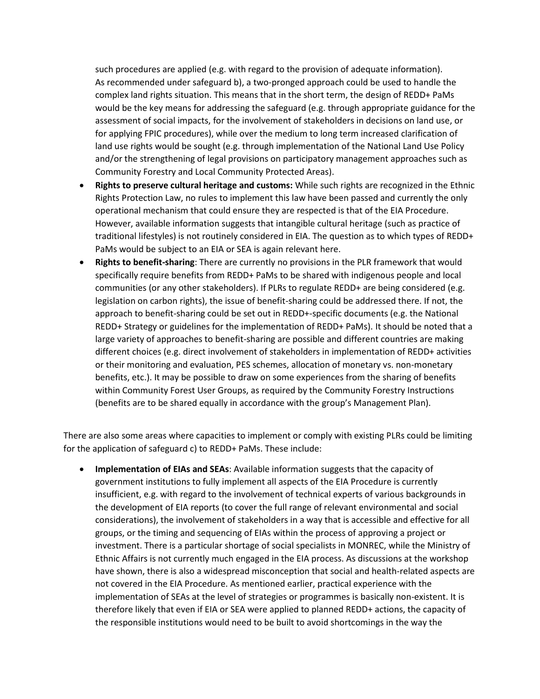such procedures are applied (e.g. with regard to the provision of adequate information). As recommended under safeguard b), a two-pronged approach could be used to handle the complex land rights situation. This means that in the short term, the design of REDD+ PaMs would be the key means for addressing the safeguard (e.g. through appropriate guidance for the assessment of social impacts, for the involvement of stakeholders in decisions on land use, or for applying FPIC procedures), while over the medium to long term increased clarification of land use rights would be sought (e.g. through implementation of the National Land Use Policy and/or the strengthening of legal provisions on participatory management approaches such as Community Forestry and Local Community Protected Areas).

- **Rights to preserve cultural heritage and customs:** While such rights are recognized in the Ethnic Rights Protection Law, no rules to implement this law have been passed and currently the only operational mechanism that could ensure they are respected is that of the EIA Procedure. However, available information suggests that intangible cultural heritage (such as practice of traditional lifestyles) is not routinely considered in EIA. The question as to which types of REDD+ PaMs would be subject to an EIA or SEA is again relevant here.
- **Rights to benefit-sharing**: There are currently no provisions in the PLR framework that would specifically require benefits from REDD+ PaMs to be shared with indigenous people and local communities (or any other stakeholders). If PLRs to regulate REDD+ are being considered (e.g. legislation on carbon rights), the issue of benefit-sharing could be addressed there. If not, the approach to benefit-sharing could be set out in REDD+-specific documents (e.g. the National REDD+ Strategy or guidelines for the implementation of REDD+ PaMs). It should be noted that a large variety of approaches to benefit-sharing are possible and different countries are making different choices (e.g. direct involvement of stakeholders in implementation of REDD+ activities or their monitoring and evaluation, PES schemes, allocation of monetary vs. non-monetary benefits, etc.). It may be possible to draw on some experiences from the sharing of benefits within Community Forest User Groups, as required by the Community Forestry Instructions (benefits are to be shared equally in accordance with the group's Management Plan).

There are also some areas where capacities to implement or comply with existing PLRs could be limiting for the application of safeguard c) to REDD+ PaMs. These include:

 **Implementation of EIAs and SEAs**: Available information suggests that the capacity of government institutions to fully implement all aspects of the EIA Procedure is currently insufficient, e.g. with regard to the involvement of technical experts of various backgrounds in the development of EIA reports (to cover the full range of relevant environmental and social considerations), the involvement of stakeholders in a way that is accessible and effective for all groups, or the timing and sequencing of EIAs within the process of approving a project or investment. There is a particular shortage of social specialists in MONREC, while the Ministry of Ethnic Affairs is not currently much engaged in the EIA process. As discussions at the workshop have shown, there is also a widespread misconception that social and health-related aspects are not covered in the EIA Procedure. As mentioned earlier, practical experience with the implementation of SEAs at the level of strategies or programmes is basically non-existent. It is therefore likely that even if EIA or SEA were applied to planned REDD+ actions, the capacity of the responsible institutions would need to be built to avoid shortcomings in the way the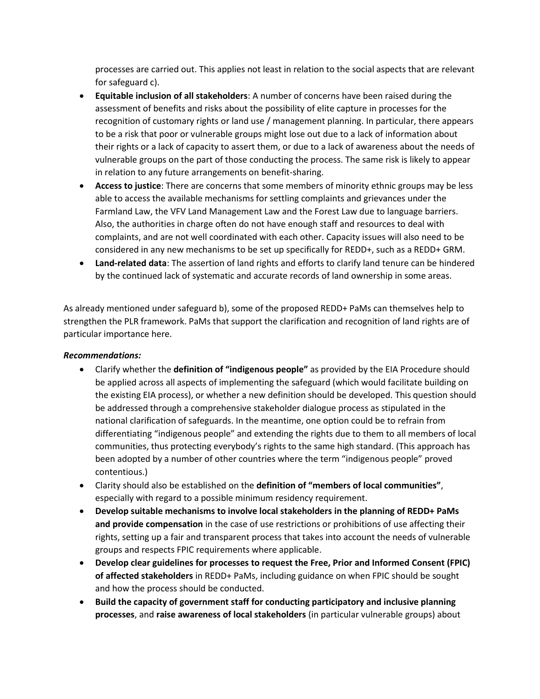processes are carried out. This applies not least in relation to the social aspects that are relevant for safeguard c).

- **Equitable inclusion of all stakeholders**: A number of concerns have been raised during the assessment of benefits and risks about the possibility of elite capture in processes for the recognition of customary rights or land use / management planning. In particular, there appears to be a risk that poor or vulnerable groups might lose out due to a lack of information about their rights or a lack of capacity to assert them, or due to a lack of awareness about the needs of vulnerable groups on the part of those conducting the process. The same risk is likely to appear in relation to any future arrangements on benefit-sharing.
- **Access to justice**: There are concerns that some members of minority ethnic groups may be less able to access the available mechanisms for settling complaints and grievances under the Farmland Law, the VFV Land Management Law and the Forest Law due to language barriers. Also, the authorities in charge often do not have enough staff and resources to deal with complaints, and are not well coordinated with each other. Capacity issues will also need to be considered in any new mechanisms to be set up specifically for REDD+, such as a REDD+ GRM.
- **Land-related data**: The assertion of land rights and efforts to clarify land tenure can be hindered by the continued lack of systematic and accurate records of land ownership in some areas.

As already mentioned under safeguard b), some of the proposed REDD+ PaMs can themselves help to strengthen the PLR framework. PaMs that support the clarification and recognition of land rights are of particular importance here.

#### *Recommendations:*

- Clarify whether the **definition of "indigenous people"** as provided by the EIA Procedure should be applied across all aspects of implementing the safeguard (which would facilitate building on the existing EIA process), or whether a new definition should be developed. This question should be addressed through a comprehensive stakeholder dialogue process as stipulated in the national clarification of safeguards. In the meantime, one option could be to refrain from differentiating "indigenous people" and extending the rights due to them to all members of local communities, thus protecting everybody's rights to the same high standard. (This approach has been adopted by a number of other countries where the term "indigenous people" proved contentious.)
- Clarity should also be established on the **definition of "members of local communities"**, especially with regard to a possible minimum residency requirement.
- **Develop suitable mechanisms to involve local stakeholders in the planning of REDD+ PaMs and provide compensation** in the case of use restrictions or prohibitions of use affecting their rights, setting up a fair and transparent process that takes into account the needs of vulnerable groups and respects FPIC requirements where applicable.
- **Develop clear guidelines for processes to request the Free, Prior and Informed Consent (FPIC) of affected stakeholders** in REDD+ PaMs, including guidance on when FPIC should be sought and how the process should be conducted.
- **Build the capacity of government staff for conducting participatory and inclusive planning processes**, and **raise awareness of local stakeholders** (in particular vulnerable groups) about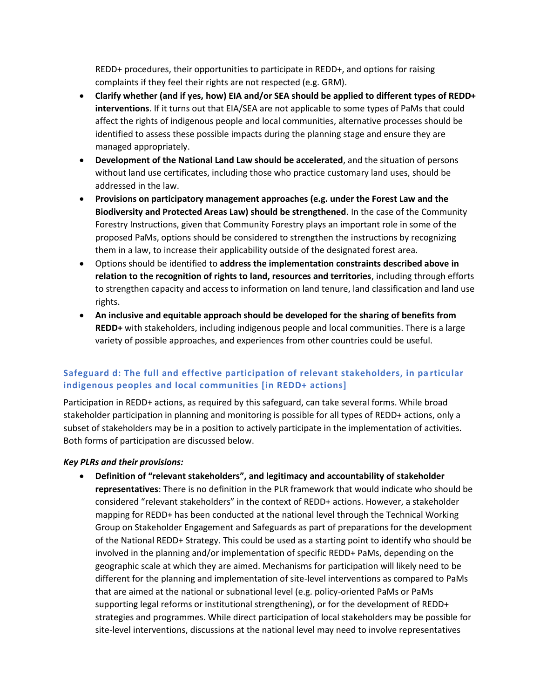REDD+ procedures, their opportunities to participate in REDD+, and options for raising complaints if they feel their rights are not respected (e.g. GRM).

- **Clarify whether (and if yes, how) EIA and/or SEA should be applied to different types of REDD+ interventions**. If it turns out that EIA/SEA are not applicable to some types of PaMs that could affect the rights of indigenous people and local communities, alternative processes should be identified to assess these possible impacts during the planning stage and ensure they are managed appropriately.
- **Development of the National Land Law should be accelerated**, and the situation of persons without land use certificates, including those who practice customary land uses, should be addressed in the law.
- **Provisions on participatory management approaches (e.g. under the Forest Law and the Biodiversity and Protected Areas Law) should be strengthened**. In the case of the Community Forestry Instructions, given that Community Forestry plays an important role in some of the proposed PaMs, options should be considered to strengthen the instructions by recognizing them in a law, to increase their applicability outside of the designated forest area.
- Options should be identified to **address the implementation constraints described above in relation to the recognition of rights to land, resources and territories**, including through efforts to strengthen capacity and access to information on land tenure, land classification and land use rights.
- **An inclusive and equitable approach should be developed for the sharing of benefits from REDD+** with stakeholders, including indigenous people and local communities. There is a large variety of possible approaches, and experiences from other countries could be useful.

## <span id="page-18-0"></span>**Safeguard d: The full and effective participation of relevant stakeholders, in pa rticular indigenous peoples and local communities [in REDD+ actions]**

Participation in REDD+ actions, as required by this safeguard, can take several forms. While broad stakeholder participation in planning and monitoring is possible for all types of REDD+ actions, only a subset of stakeholders may be in a position to actively participate in the implementation of activities. Both forms of participation are discussed below.

#### *Key PLRs and their provisions:*

 **Definition of "relevant stakeholders", and legitimacy and accountability of stakeholder representatives**: There is no definition in the PLR framework that would indicate who should be considered "relevant stakeholders" in the context of REDD+ actions. However, a stakeholder mapping for REDD+ has been conducted at the national level through the Technical Working Group on Stakeholder Engagement and Safeguards as part of preparations for the development of the National REDD+ Strategy. This could be used as a starting point to identify who should be involved in the planning and/or implementation of specific REDD+ PaMs, depending on the geographic scale at which they are aimed. Mechanisms for participation will likely need to be different for the planning and implementation of site-level interventions as compared to PaMs that are aimed at the national or subnational level (e.g. policy-oriented PaMs or PaMs supporting legal reforms or institutional strengthening), or for the development of REDD+ strategies and programmes. While direct participation of local stakeholders may be possible for site-level interventions, discussions at the national level may need to involve representatives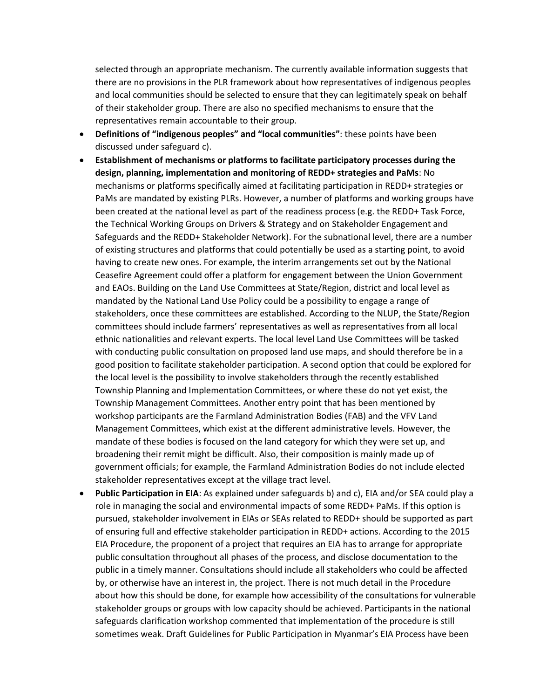selected through an appropriate mechanism. The currently available information suggests that there are no provisions in the PLR framework about how representatives of indigenous peoples and local communities should be selected to ensure that they can legitimately speak on behalf of their stakeholder group. There are also no specified mechanisms to ensure that the representatives remain accountable to their group.

- **Definitions of "indigenous peoples" and "local communities"**: these points have been discussed under safeguard c).
- **Establishment of mechanisms or platforms to facilitate participatory processes during the design, planning, implementation and monitoring of REDD+ strategies and PaMs**: No mechanisms or platforms specifically aimed at facilitating participation in REDD+ strategies or PaMs are mandated by existing PLRs. However, a number of platforms and working groups have been created at the national level as part of the readiness process (e.g. the REDD+ Task Force, the Technical Working Groups on Drivers & Strategy and on Stakeholder Engagement and Safeguards and the REDD+ Stakeholder Network). For the subnational level, there are a number of existing structures and platforms that could potentially be used as a starting point, to avoid having to create new ones. For example, the interim arrangements set out by the National Ceasefire Agreement could offer a platform for engagement between the Union Government and EAOs. Building on the Land Use Committees at State/Region, district and local level as mandated by the National Land Use Policy could be a possibility to engage a range of stakeholders, once these committees are established. According to the NLUP, the State/Region committees should include farmers' representatives as well as representatives from all local ethnic nationalities and relevant experts. The local level Land Use Committees will be tasked with conducting public consultation on proposed land use maps, and should therefore be in a good position to facilitate stakeholder participation. A second option that could be explored for the local level is the possibility to involve stakeholders through the recently established Township Planning and Implementation Committees, or where these do not yet exist, the Township Management Committees. Another entry point that has been mentioned by workshop participants are the Farmland Administration Bodies (FAB) and the VFV Land Management Committees, which exist at the different administrative levels. However, the mandate of these bodies is focused on the land category for which they were set up, and broadening their remit might be difficult. Also, their composition is mainly made up of government officials; for example, the Farmland Administration Bodies do not include elected stakeholder representatives except at the village tract level.
- **Public Participation in EIA**: As explained under safeguards b) and c), EIA and/or SEA could play a role in managing the social and environmental impacts of some REDD+ PaMs. If this option is pursued, stakeholder involvement in EIAs or SEAs related to REDD+ should be supported as part of ensuring full and effective stakeholder participation in REDD+ actions. According to the 2015 EIA Procedure, the proponent of a project that requires an EIA has to arrange for appropriate public consultation throughout all phases of the process, and disclose documentation to the public in a timely manner. Consultations should include all stakeholders who could be affected by, or otherwise have an interest in, the project. There is not much detail in the Procedure about how this should be done, for example how accessibility of the consultations for vulnerable stakeholder groups or groups with low capacity should be achieved. Participants in the national safeguards clarification workshop commented that implementation of the procedure is still sometimes weak. Draft Guidelines for Public Participation in Myanmar's EIA Process have been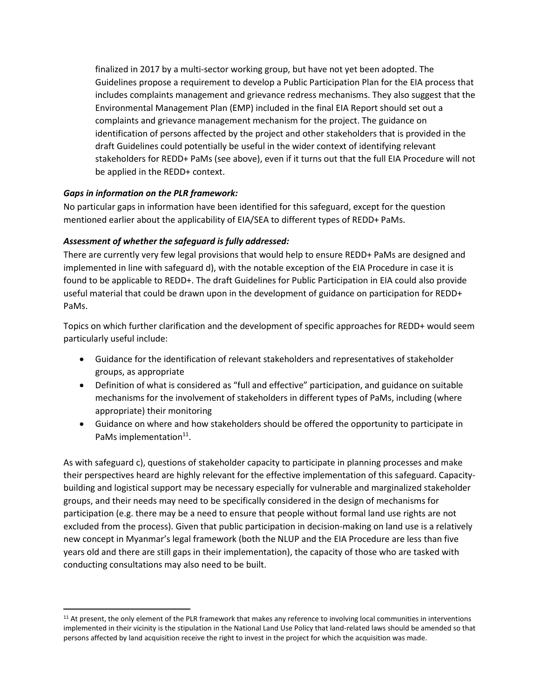finalized in 2017 by a multi-sector working group, but have not yet been adopted. The Guidelines propose a requirement to develop a Public Participation Plan for the EIA process that includes complaints management and grievance redress mechanisms. They also suggest that the Environmental Management Plan (EMP) included in the final EIA Report should set out a complaints and grievance management mechanism for the project. The guidance on identification of persons affected by the project and other stakeholders that is provided in the draft Guidelines could potentially be useful in the wider context of identifying relevant stakeholders for REDD+ PaMs (see above), even if it turns out that the full EIA Procedure will not be applied in the REDD+ context.

#### *Gaps in information on the PLR framework:*

 $\overline{a}$ 

No particular gaps in information have been identified for this safeguard, except for the question mentioned earlier about the applicability of EIA/SEA to different types of REDD+ PaMs.

## *Assessment of whether the safeguard is fully addressed:*

There are currently very few legal provisions that would help to ensure REDD+ PaMs are designed and implemented in line with safeguard d), with the notable exception of the EIA Procedure in case it is found to be applicable to REDD+. The draft Guidelines for Public Participation in EIA could also provide useful material that could be drawn upon in the development of guidance on participation for REDD+ PaMs.

Topics on which further clarification and the development of specific approaches for REDD+ would seem particularly useful include:

- Guidance for the identification of relevant stakeholders and representatives of stakeholder groups, as appropriate
- Definition of what is considered as "full and effective" participation, and guidance on suitable mechanisms for the involvement of stakeholders in different types of PaMs, including (where appropriate) their monitoring
- Guidance on where and how stakeholders should be offered the opportunity to participate in PaMs implementation<sup>11</sup>.

As with safeguard c), questions of stakeholder capacity to participate in planning processes and make their perspectives heard are highly relevant for the effective implementation of this safeguard. Capacitybuilding and logistical support may be necessary especially for vulnerable and marginalized stakeholder groups, and their needs may need to be specifically considered in the design of mechanisms for participation (e.g. there may be a need to ensure that people without formal land use rights are not excluded from the process). Given that public participation in decision-making on land use is a relatively new concept in Myanmar's legal framework (both the NLUP and the EIA Procedure are less than five years old and there are still gaps in their implementation), the capacity of those who are tasked with conducting consultations may also need to be built.

<sup>&</sup>lt;sup>11</sup> At present, the only element of the PLR framework that makes any reference to involving local communities in interventions implemented in their vicinity is the stipulation in the National Land Use Policy that land-related laws should be amended so that persons affected by land acquisition receive the right to invest in the project for which the acquisition was made.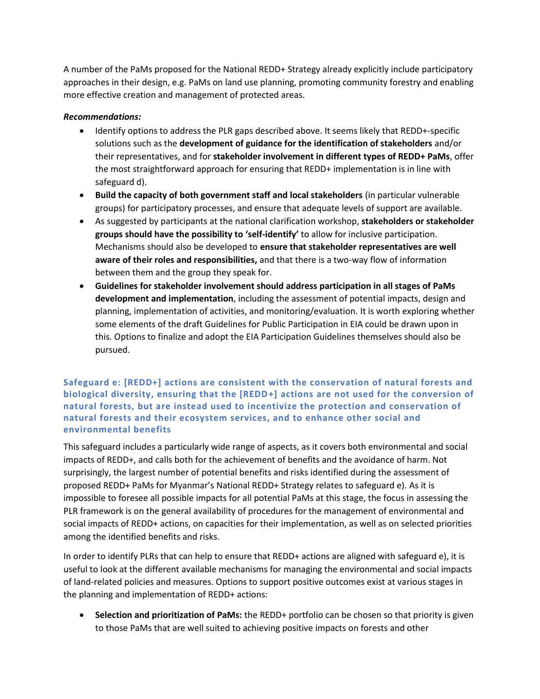A number of the PaMs proposed for the National REDD+ Strategy already explicitly include participatory approaches in their design, e.g. PaMs on land use planning, promoting community forestry and enabling more effective creation and management of protected areas.

#### *Recommendations:*

- Identify options to address the PLR gaps described above. It seems likely that REDD+-specific solutions such as the **development of guidance for the identification of stakeholders** and/or their representatives, and for **stakeholder involvement in different types of REDD+ PaMs**, offer the most straightforward approach for ensuring that REDD+ implementation is in line with safeguard d).
- **Build the capacity of both government staff and local stakeholders** (in particular vulnerable groups) for participatory processes, and ensure that adequate levels of support are available.
- As suggested by participants at the national clarification workshop, **stakeholders or stakeholder groups should have the possibility to 'self-identify'** to allow for inclusive participation. Mechanisms should also be developed to **ensure that stakeholder representatives are well aware of their roles and responsibilities,** and that there is a two-way flow of information between them and the group they speak for.
- **Guidelines for stakeholder involvement should address participation in all stages of PaMs development and implementation**, including the assessment of potential impacts, design and planning, implementation of activities, and monitoring/evaluation. It is worth exploring whether some elements of the draft Guidelines for Public Participation in EIA could be drawn upon in this. Options to finalize and adopt the EIA Participation Guidelines themselves should also be pursued.

## <span id="page-21-0"></span>**Safeguard e: [REDD+] actions are consistent with the conservation of natural forests and biological diversity, ensuring that the [REDD+] actions are not used for the conversion of natural forests, but are instead used to incentivize the protection and conservation of natural forests and their ecosystem services, and to enhance other social and environmental benefits**

This safeguard includes a particularly wide range of aspects, as it covers both environmental and social impacts of REDD+, and calls both for the achievement of benefits and the avoidance of harm. Not surprisingly, the largest number of potential benefits and risks identified during the assessment of proposed REDD+ PaMs for Myanmar's National REDD+ Strategy relates to safeguard e). As it is impossible to foresee all possible impacts for all potential PaMs at this stage, the focus in assessing the PLR framework is on the general availability of procedures for the management of environmental and social impacts of REDD+ actions, on capacities for their implementation, as well as on selected priorities among the identified benefits and risks.

In order to identify PLRs that can help to ensure that REDD+ actions are aligned with safeguard e), it is useful to look at the different available mechanisms for managing the environmental and social impacts of land-related policies and measures. Options to support positive outcomes exist at various stages in the planning and implementation of REDD+ actions:

**Selection and prioritization of PaMs:** the REDD+ portfolio can be chosen so that priority is given to those PaMs that are well suited to achieving positive impacts on forests and other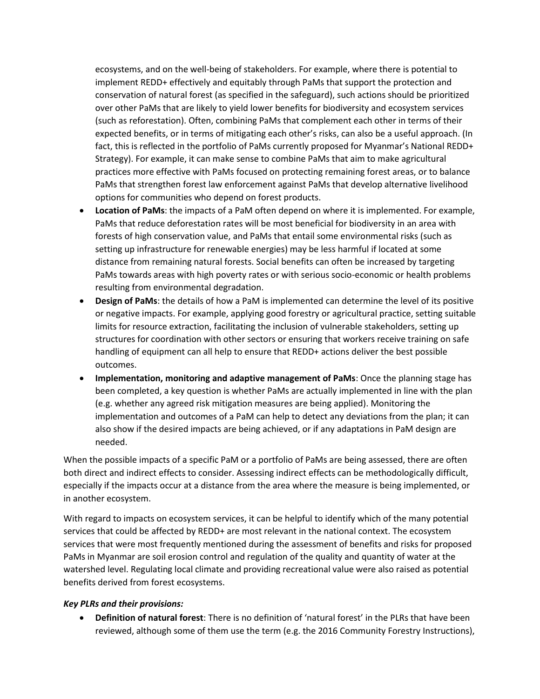ecosystems, and on the well-being of stakeholders. For example, where there is potential to implement REDD+ effectively and equitably through PaMs that support the protection and conservation of natural forest (as specified in the safeguard), such actions should be prioritized over other PaMs that are likely to yield lower benefits for biodiversity and ecosystem services (such as reforestation). Often, combining PaMs that complement each other in terms of their expected benefits, or in terms of mitigating each other's risks, can also be a useful approach. (In fact, this is reflected in the portfolio of PaMs currently proposed for Myanmar's National REDD+ Strategy). For example, it can make sense to combine PaMs that aim to make agricultural practices more effective with PaMs focused on protecting remaining forest areas, or to balance PaMs that strengthen forest law enforcement against PaMs that develop alternative livelihood options for communities who depend on forest products.

- **Location of PaMs**: the impacts of a PaM often depend on where it is implemented. For example, PaMs that reduce deforestation rates will be most beneficial for biodiversity in an area with forests of high conservation value, and PaMs that entail some environmental risks (such as setting up infrastructure for renewable energies) may be less harmful if located at some distance from remaining natural forests. Social benefits can often be increased by targeting PaMs towards areas with high poverty rates or with serious socio-economic or health problems resulting from environmental degradation.
- **Design of PaMs**: the details of how a PaM is implemented can determine the level of its positive or negative impacts. For example, applying good forestry or agricultural practice, setting suitable limits for resource extraction, facilitating the inclusion of vulnerable stakeholders, setting up structures for coordination with other sectors or ensuring that workers receive training on safe handling of equipment can all help to ensure that REDD+ actions deliver the best possible outcomes.
- **Implementation, monitoring and adaptive management of PaMs:** Once the planning stage has been completed, a key question is whether PaMs are actually implemented in line with the plan (e.g. whether any agreed risk mitigation measures are being applied). Monitoring the implementation and outcomes of a PaM can help to detect any deviations from the plan; it can also show if the desired impacts are being achieved, or if any adaptations in PaM design are needed.

When the possible impacts of a specific PaM or a portfolio of PaMs are being assessed, there are often both direct and indirect effects to consider. Assessing indirect effects can be methodologically difficult, especially if the impacts occur at a distance from the area where the measure is being implemented, or in another ecosystem.

With regard to impacts on ecosystem services, it can be helpful to identify which of the many potential services that could be affected by REDD+ are most relevant in the national context. The ecosystem services that were most frequently mentioned during the assessment of benefits and risks for proposed PaMs in Myanmar are soil erosion control and regulation of the quality and quantity of water at the watershed level. Regulating local climate and providing recreational value were also raised as potential benefits derived from forest ecosystems.

#### *Key PLRs and their provisions:*

 **Definition of natural forest**: There is no definition of 'natural forest' in the PLRs that have been reviewed, although some of them use the term (e.g. the 2016 Community Forestry Instructions),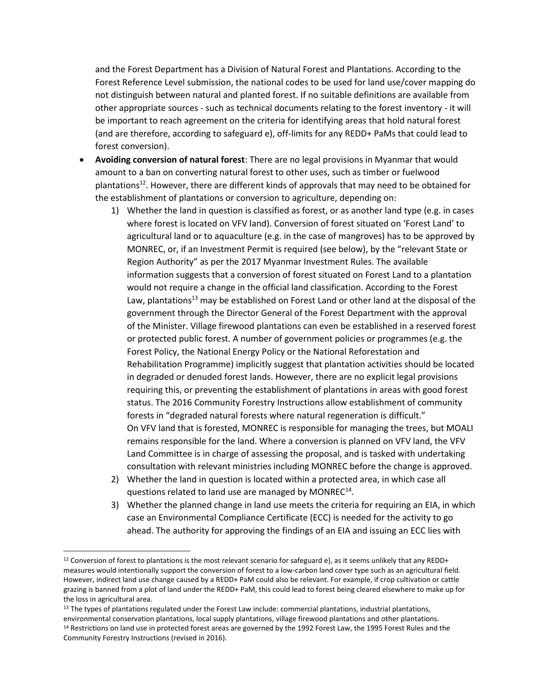and the Forest Department has a Division of Natural Forest and Plantations. According to the Forest Reference Level submission, the national codes to be used for land use/cover mapping do not distinguish between natural and planted forest. If no suitable definitions are available from other appropriate sources - such as technical documents relating to the forest inventory - it will be important to reach agreement on the criteria for identifying areas that hold natural forest (and are therefore, according to safeguard e), off-limits for any REDD+ PaMs that could lead to forest conversion).

- **Avoiding conversion of natural forest**: There are no legal provisions in Myanmar that would amount to a ban on converting natural forest to other uses, such as timber or fuelwood plantations<sup>12</sup>. However, there are different kinds of approvals that may need to be obtained for the establishment of plantations or conversion to agriculture, depending on:
	- 1) Whether the land in question is classified as forest, or as another land type (e.g. in cases where forest is located on VFV land). Conversion of forest situated on 'Forest Land' to agricultural land or to aquaculture (e.g. in the case of mangroves) has to be approved by MONREC, or, if an Investment Permit is required (see below), by the "relevant State or Region Authority" as per the 2017 Myanmar Investment Rules. The available information suggests that a conversion of forest situated on Forest Land to a plantation would not require a change in the official land classification. According to the Forest Law, plantations<sup>13</sup> may be established on Forest Land or other land at the disposal of the government through the Director General of the Forest Department with the approval of the Minister. Village firewood plantations can even be established in a reserved forest or protected public forest. A number of government policies or programmes (e.g. the Forest Policy, the National Energy Policy or the National Reforestation and Rehabilitation Programme) implicitly suggest that plantation activities should be located in degraded or denuded forest lands. However, there are no explicit legal provisions requiring this, or preventing the establishment of plantations in areas with good forest status. The 2016 Community Forestry Instructions allow establishment of community forests in "degraded natural forests where natural regeneration is difficult." On VFV land that is forested, MONREC is responsible for managing the trees, but MOALI remains responsible for the land. Where a conversion is planned on VFV land, the VFV Land Committee is in charge of assessing the proposal, and is tasked with undertaking consultation with relevant ministries including MONREC before the change is approved.
	- 2) Whether the land in question is located within a protected area, in which case all questions related to land use are managed by MONREC<sup>14</sup>.
	- 3) Whether the planned change in land use meets the criteria for requiring an EIA, in which case an Environmental Compliance Certificate (ECC) is needed for the activity to go ahead. The authority for approving the findings of an EIA and issuing an ECC lies with

l

 $12$  Conversion of forest to plantations is the most relevant scenario for safeguard e), as it seems unlikely that any REDD+ measures would intentionally support the conversion of forest to a low-carbon land cover type such as an agricultural field. However, indirect land use change caused by a REDD+ PaM could also be relevant. For example, if crop cultivation or cattle grazing is banned from a plot of land under the REDD+ PaM, this could lead to forest being cleared elsewhere to make up for the loss in agricultural area.

<sup>&</sup>lt;sup>13</sup> The types of plantations regulated under the Forest Law include: commercial plantations, industrial plantations, environmental conservation plantations, local supply plantations, village firewood plantations and other plantations. <sup>14</sup> Restrictions on land use in protected forest areas are governed by the 1992 Forest Law, the 1995 Forest Rules and the Community Forestry Instructions (revised in 2016).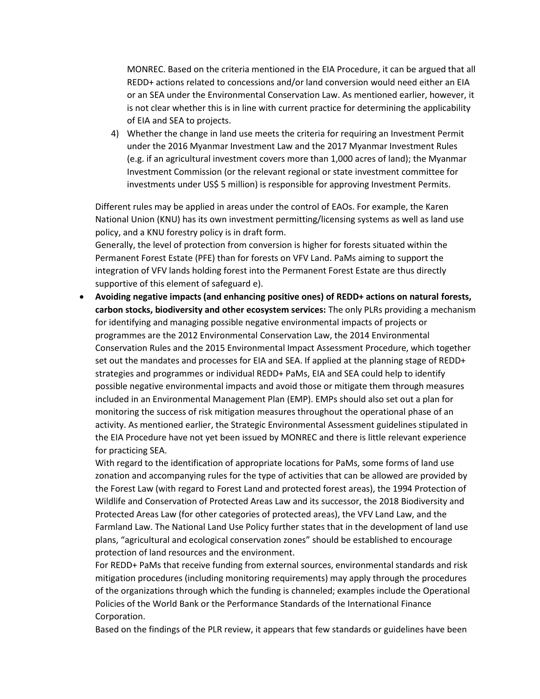MONREC. Based on the criteria mentioned in the EIA Procedure, it can be argued that all REDD+ actions related to concessions and/or land conversion would need either an EIA or an SEA under the Environmental Conservation Law. As mentioned earlier, however, it is not clear whether this is in line with current practice for determining the applicability of EIA and SEA to projects.

4) Whether the change in land use meets the criteria for requiring an Investment Permit under the 2016 Myanmar Investment Law and the 2017 Myanmar Investment Rules (e.g. if an agricultural investment covers more than 1,000 acres of land); the Myanmar Investment Commission (or the relevant regional or state investment committee for investments under US\$ 5 million) is responsible for approving Investment Permits.

Different rules may be applied in areas under the control of EAOs. For example, the Karen National Union (KNU) has its own investment permitting/licensing systems as well as land use policy, and a KNU forestry policy is in draft form.

Generally, the level of protection from conversion is higher for forests situated within the Permanent Forest Estate (PFE) than for forests on VFV Land. PaMs aiming to support the integration of VFV lands holding forest into the Permanent Forest Estate are thus directly supportive of this element of safeguard e).

 **Avoiding negative impacts (and enhancing positive ones) of REDD+ actions on natural forests, carbon stocks, biodiversity and other ecosystem services:** The only PLRs providing a mechanism for identifying and managing possible negative environmental impacts of projects or programmes are the 2012 Environmental Conservation Law, the 2014 Environmental Conservation Rules and the 2015 Environmental Impact Assessment Procedure, which together set out the mandates and processes for EIA and SEA. If applied at the planning stage of REDD+ strategies and programmes or individual REDD+ PaMs, EIA and SEA could help to identify possible negative environmental impacts and avoid those or mitigate them through measures included in an Environmental Management Plan (EMP). EMPs should also set out a plan for monitoring the success of risk mitigation measures throughout the operational phase of an activity. As mentioned earlier, the Strategic Environmental Assessment guidelines stipulated in the EIA Procedure have not yet been issued by MONREC and there is little relevant experience for practicing SEA.

With regard to the identification of appropriate locations for PaMs, some forms of land use zonation and accompanying rules for the type of activities that can be allowed are provided by the Forest Law (with regard to Forest Land and protected forest areas), the 1994 Protection of Wildlife and Conservation of Protected Areas Law and its successor, the 2018 Biodiversity and Protected Areas Law (for other categories of protected areas), the VFV Land Law, and the Farmland Law. The National Land Use Policy further states that in the development of land use plans, "agricultural and ecological conservation zones" should be established to encourage protection of land resources and the environment.

For REDD+ PaMs that receive funding from external sources, environmental standards and risk mitigation procedures (including monitoring requirements) may apply through the procedures of the organizations through which the funding is channeled; examples include the Operational Policies of the World Bank or the Performance Standards of the International Finance Corporation.

Based on the findings of the PLR review, it appears that few standards or guidelines have been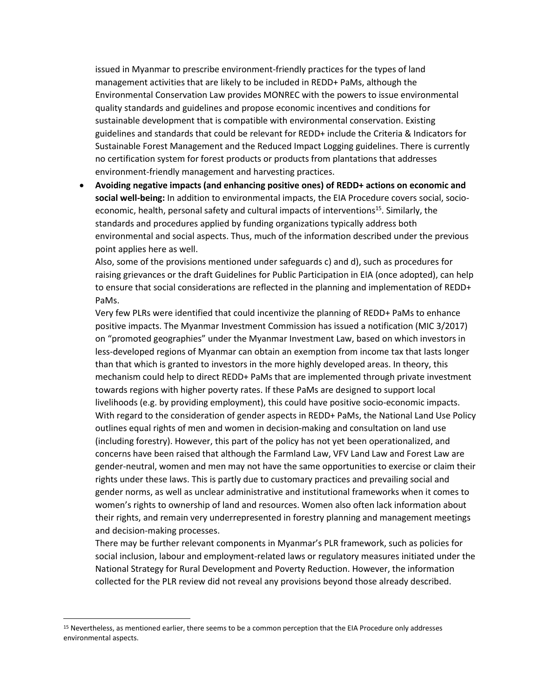issued in Myanmar to prescribe environment-friendly practices for the types of land management activities that are likely to be included in REDD+ PaMs, although the Environmental Conservation Law provides MONREC with the powers to issue environmental quality standards and guidelines and propose economic incentives and conditions for sustainable development that is compatible with environmental conservation. Existing guidelines and standards that could be relevant for REDD+ include the Criteria & Indicators for Sustainable Forest Management and the Reduced Impact Logging guidelines. There is currently no certification system for forest products or products from plantations that addresses environment-friendly management and harvesting practices.

 **Avoiding negative impacts (and enhancing positive ones) of REDD+ actions on economic and social well-being:** In addition to environmental impacts, the EIA Procedure covers social, socioeconomic, health, personal safety and cultural impacts of interventions<sup>15</sup>. Similarly, the standards and procedures applied by funding organizations typically address both environmental and social aspects. Thus, much of the information described under the previous point applies here as well.

Also, some of the provisions mentioned under safeguards c) and d), such as procedures for raising grievances or the draft Guidelines for Public Participation in EIA (once adopted), can help to ensure that social considerations are reflected in the planning and implementation of REDD+ PaMs.

Very few PLRs were identified that could incentivize the planning of REDD+ PaMs to enhance positive impacts. The Myanmar Investment Commission has issued a notification (MIC 3/2017) on "promoted geographies" under the Myanmar Investment Law, based on which investors in less-developed regions of Myanmar can obtain an exemption from income tax that lasts longer than that which is granted to investors in the more highly developed areas. In theory, this mechanism could help to direct REDD+ PaMs that are implemented through private investment towards regions with higher poverty rates. If these PaMs are designed to support local livelihoods (e.g. by providing employment), this could have positive socio-economic impacts. With regard to the consideration of gender aspects in REDD+ PaMs, the National Land Use Policy outlines equal rights of men and women in decision-making and consultation on land use (including forestry). However, this part of the policy has not yet been operationalized, and concerns have been raised that although the Farmland Law, VFV Land Law and Forest Law are gender-neutral, women and men may not have the same opportunities to exercise or claim their rights under these laws. This is partly due to customary practices and prevailing social and gender norms, as well as unclear administrative and institutional frameworks when it comes to women's rights to ownership of land and resources. Women also often lack information about their rights, and remain very underrepresented in forestry planning and management meetings and decision-making processes.

There may be further relevant components in Myanmar's PLR framework, such as policies for social inclusion, labour and employment-related laws or regulatory measures initiated under the National Strategy for Rural Development and Poverty Reduction. However, the information collected for the PLR review did not reveal any provisions beyond those already described.

 $\overline{a}$ 

<sup>15</sup> Nevertheless, as mentioned earlier, there seems to be a common perception that the EIA Procedure only addresses environmental aspects.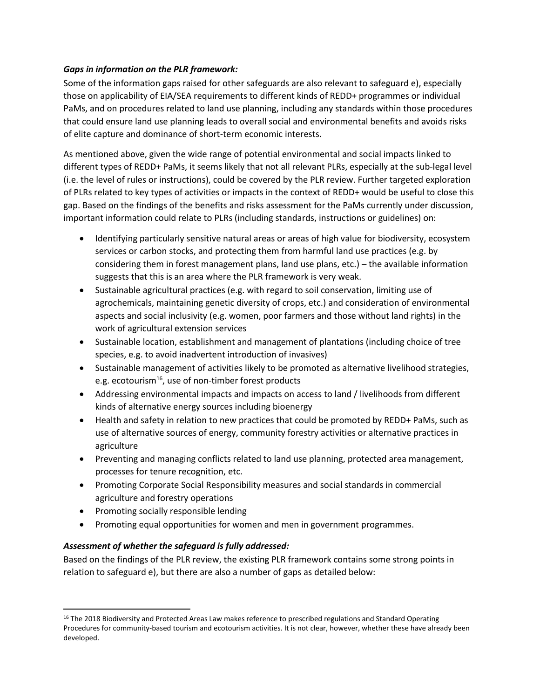#### *Gaps in information on the PLR framework:*

Some of the information gaps raised for other safeguards are also relevant to safeguard e), especially those on applicability of EIA/SEA requirements to different kinds of REDD+ programmes or individual PaMs, and on procedures related to land use planning, including any standards within those procedures that could ensure land use planning leads to overall social and environmental benefits and avoids risks of elite capture and dominance of short-term economic interests.

As mentioned above, given the wide range of potential environmental and social impacts linked to different types of REDD+ PaMs, it seems likely that not all relevant PLRs, especially at the sub-legal level (i.e. the level of rules or instructions), could be covered by the PLR review. Further targeted exploration of PLRs related to key types of activities or impacts in the context of REDD+ would be useful to close this gap. Based on the findings of the benefits and risks assessment for the PaMs currently under discussion, important information could relate to PLRs (including standards, instructions or guidelines) on:

- Identifying particularly sensitive natural areas or areas of high value for biodiversity, ecosystem services or carbon stocks, and protecting them from harmful land use practices (e.g. by considering them in forest management plans, land use plans, etc.) – the available information suggests that this is an area where the PLR framework is very weak.
- Sustainable agricultural practices (e.g. with regard to soil conservation, limiting use of agrochemicals, maintaining genetic diversity of crops, etc.) and consideration of environmental aspects and social inclusivity (e.g. women, poor farmers and those without land rights) in the work of agricultural extension services
- Sustainable location, establishment and management of plantations (including choice of tree species, e.g. to avoid inadvertent introduction of invasives)
- Sustainable management of activities likely to be promoted as alternative livelihood strategies, e.g. ecotourism<sup>16</sup>, use of non-timber forest products
- Addressing environmental impacts and impacts on access to land / livelihoods from different kinds of alternative energy sources including bioenergy
- Health and safety in relation to new practices that could be promoted by REDD+ PaMs, such as use of alternative sources of energy, community forestry activities or alternative practices in agriculture
- Preventing and managing conflicts related to land use planning, protected area management, processes for tenure recognition, etc.
- Promoting Corporate Social Responsibility measures and social standards in commercial agriculture and forestry operations
- Promoting socially responsible lending

 $\overline{a}$ 

Promoting equal opportunities for women and men in government programmes.

## *Assessment of whether the safeguard is fully addressed:*

Based on the findings of the PLR review, the existing PLR framework contains some strong points in relation to safeguard e), but there are also a number of gaps as detailed below:

<sup>&</sup>lt;sup>16</sup> The 2018 Biodiversity and Protected Areas Law makes reference to prescribed regulations and Standard Operating Procedures for community-based tourism and ecotourism activities. It is not clear, however, whether these have already been developed.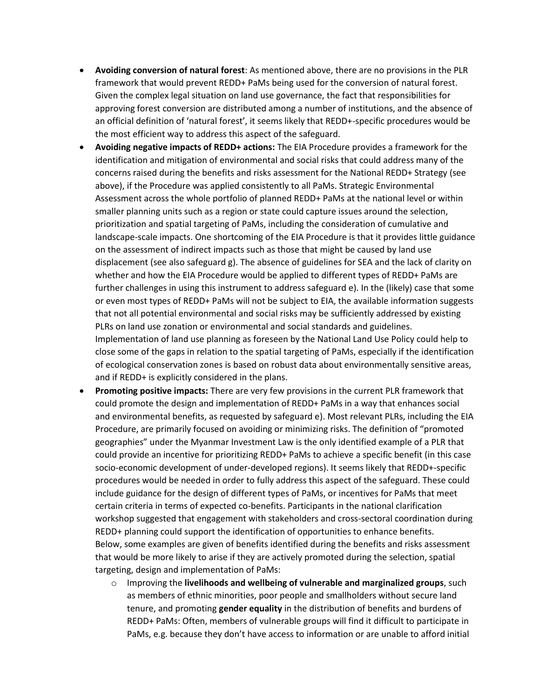- **Avoiding conversion of natural forest**: As mentioned above, there are no provisions in the PLR framework that would prevent REDD+ PaMs being used for the conversion of natural forest. Given the complex legal situation on land use governance, the fact that responsibilities for approving forest conversion are distributed among a number of institutions, and the absence of an official definition of 'natural forest', it seems likely that REDD+-specific procedures would be the most efficient way to address this aspect of the safeguard.
- **Avoiding negative impacts of REDD+ actions:** The EIA Procedure provides a framework for the identification and mitigation of environmental and social risks that could address many of the concerns raised during the benefits and risks assessment for the National REDD+ Strategy (see above), if the Procedure was applied consistently to all PaMs. Strategic Environmental Assessment across the whole portfolio of planned REDD+ PaMs at the national level or within smaller planning units such as a region or state could capture issues around the selection, prioritization and spatial targeting of PaMs, including the consideration of cumulative and landscape-scale impacts. One shortcoming of the EIA Procedure is that it provides little guidance on the assessment of indirect impacts such as those that might be caused by land use displacement (see also safeguard g). The absence of guidelines for SEA and the lack of clarity on whether and how the EIA Procedure would be applied to different types of REDD+ PaMs are further challenges in using this instrument to address safeguard e). In the (likely) case that some or even most types of REDD+ PaMs will not be subject to EIA, the available information suggests that not all potential environmental and social risks may be sufficiently addressed by existing PLRs on land use zonation or environmental and social standards and guidelines. Implementation of land use planning as foreseen by the National Land Use Policy could help to close some of the gaps in relation to the spatial targeting of PaMs, especially if the identification of ecological conservation zones is based on robust data about environmentally sensitive areas, and if REDD+ is explicitly considered in the plans.
- **Promoting positive impacts:** There are very few provisions in the current PLR framework that could promote the design and implementation of REDD+ PaMs in a way that enhances social and environmental benefits, as requested by safeguard e). Most relevant PLRs, including the EIA Procedure, are primarily focused on avoiding or minimizing risks. The definition of "promoted geographies" under the Myanmar Investment Law is the only identified example of a PLR that could provide an incentive for prioritizing REDD+ PaMs to achieve a specific benefit (in this case socio-economic development of under-developed regions). It seems likely that REDD+-specific procedures would be needed in order to fully address this aspect of the safeguard. These could include guidance for the design of different types of PaMs, or incentives for PaMs that meet certain criteria in terms of expected co-benefits. Participants in the national clarification workshop suggested that engagement with stakeholders and cross-sectoral coordination during REDD+ planning could support the identification of opportunities to enhance benefits. Below, some examples are given of benefits identified during the benefits and risks assessment that would be more likely to arise if they are actively promoted during the selection, spatial targeting, design and implementation of PaMs:
	- o Improving the **livelihoods and wellbeing of vulnerable and marginalized groups**, such as members of ethnic minorities, poor people and smallholders without secure land tenure, and promoting **gender equality** in the distribution of benefits and burdens of REDD+ PaMs: Often, members of vulnerable groups will find it difficult to participate in PaMs, e.g. because they don't have access to information or are unable to afford initial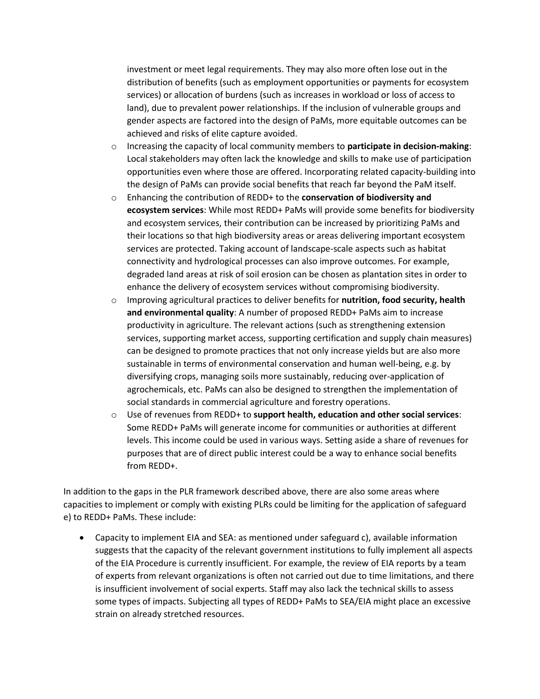investment or meet legal requirements. They may also more often lose out in the distribution of benefits (such as employment opportunities or payments for ecosystem services) or allocation of burdens (such as increases in workload or loss of access to land), due to prevalent power relationships. If the inclusion of vulnerable groups and gender aspects are factored into the design of PaMs, more equitable outcomes can be achieved and risks of elite capture avoided.

- o Increasing the capacity of local community members to **participate in decision-making**: Local stakeholders may often lack the knowledge and skills to make use of participation opportunities even where those are offered. Incorporating related capacity-building into the design of PaMs can provide social benefits that reach far beyond the PaM itself.
- o Enhancing the contribution of REDD+ to the **conservation of biodiversity and ecosystem services**: While most REDD+ PaMs will provide some benefits for biodiversity and ecosystem services, their contribution can be increased by prioritizing PaMs and their locations so that high biodiversity areas or areas delivering important ecosystem services are protected. Taking account of landscape-scale aspects such as habitat connectivity and hydrological processes can also improve outcomes. For example, degraded land areas at risk of soil erosion can be chosen as plantation sites in order to enhance the delivery of ecosystem services without compromising biodiversity.
- o Improving agricultural practices to deliver benefits for **nutrition, food security, health and environmental quality**: A number of proposed REDD+ PaMs aim to increase productivity in agriculture. The relevant actions (such as strengthening extension services, supporting market access, supporting certification and supply chain measures) can be designed to promote practices that not only increase yields but are also more sustainable in terms of environmental conservation and human well-being, e.g. by diversifying crops, managing soils more sustainably, reducing over-application of agrochemicals, etc. PaMs can also be designed to strengthen the implementation of social standards in commercial agriculture and forestry operations.
- o Use of revenues from REDD+ to **support health, education and other social services**: Some REDD+ PaMs will generate income for communities or authorities at different levels. This income could be used in various ways. Setting aside a share of revenues for purposes that are of direct public interest could be a way to enhance social benefits from REDD+.

In addition to the gaps in the PLR framework described above, there are also some areas where capacities to implement or comply with existing PLRs could be limiting for the application of safeguard e) to REDD+ PaMs. These include:

 Capacity to implement EIA and SEA: as mentioned under safeguard c), available information suggests that the capacity of the relevant government institutions to fully implement all aspects of the EIA Procedure is currently insufficient. For example, the review of EIA reports by a team of experts from relevant organizations is often not carried out due to time limitations, and there is insufficient involvement of social experts. Staff may also lack the technical skills to assess some types of impacts. Subjecting all types of REDD+ PaMs to SEA/EIA might place an excessive strain on already stretched resources.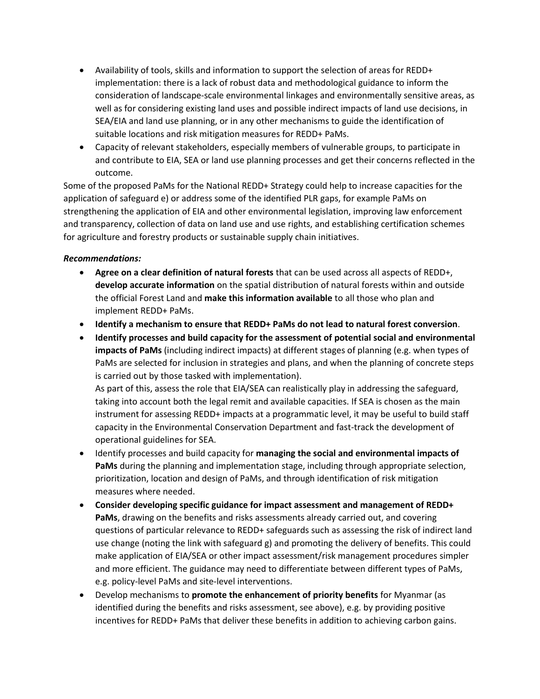- Availability of tools, skills and information to support the selection of areas for REDD+ implementation: there is a lack of robust data and methodological guidance to inform the consideration of landscape-scale environmental linkages and environmentally sensitive areas, as well as for considering existing land uses and possible indirect impacts of land use decisions, in SEA/EIA and land use planning, or in any other mechanisms to guide the identification of suitable locations and risk mitigation measures for REDD+ PaMs.
- Capacity of relevant stakeholders, especially members of vulnerable groups, to participate in and contribute to EIA, SEA or land use planning processes and get their concerns reflected in the outcome.

Some of the proposed PaMs for the National REDD+ Strategy could help to increase capacities for the application of safeguard e) or address some of the identified PLR gaps, for example PaMs on strengthening the application of EIA and other environmental legislation, improving law enforcement and transparency, collection of data on land use and use rights, and establishing certification schemes for agriculture and forestry products or sustainable supply chain initiatives.

#### *Recommendations:*

- **Agree on a clear definition of natural forests** that can be used across all aspects of REDD+, **develop accurate information** on the spatial distribution of natural forests within and outside the official Forest Land and **make this information available** to all those who plan and implement REDD+ PaMs.
- **Identify a mechanism to ensure that REDD+ PaMs do not lead to natural forest conversion**.
- **Identify processes and build capacity for the assessment of potential social and environmental impacts of PaMs** (including indirect impacts) at different stages of planning (e.g. when types of PaMs are selected for inclusion in strategies and plans, and when the planning of concrete steps is carried out by those tasked with implementation).

As part of this, assess the role that EIA/SEA can realistically play in addressing the safeguard, taking into account both the legal remit and available capacities. If SEA is chosen as the main instrument for assessing REDD+ impacts at a programmatic level, it may be useful to build staff capacity in the Environmental Conservation Department and fast-track the development of operational guidelines for SEA.

- Identify processes and build capacity for **managing the social and environmental impacts of PaMs** during the planning and implementation stage, including through appropriate selection, prioritization, location and design of PaMs, and through identification of risk mitigation measures where needed.
- **Consider developing specific guidance for impact assessment and management of REDD+ PaMs**, drawing on the benefits and risks assessments already carried out, and covering questions of particular relevance to REDD+ safeguards such as assessing the risk of indirect land use change (noting the link with safeguard g) and promoting the delivery of benefits. This could make application of EIA/SEA or other impact assessment/risk management procedures simpler and more efficient. The guidance may need to differentiate between different types of PaMs, e.g. policy-level PaMs and site-level interventions.
- Develop mechanisms to **promote the enhancement of priority benefits** for Myanmar (as identified during the benefits and risks assessment, see above), e.g. by providing positive incentives for REDD+ PaMs that deliver these benefits in addition to achieving carbon gains.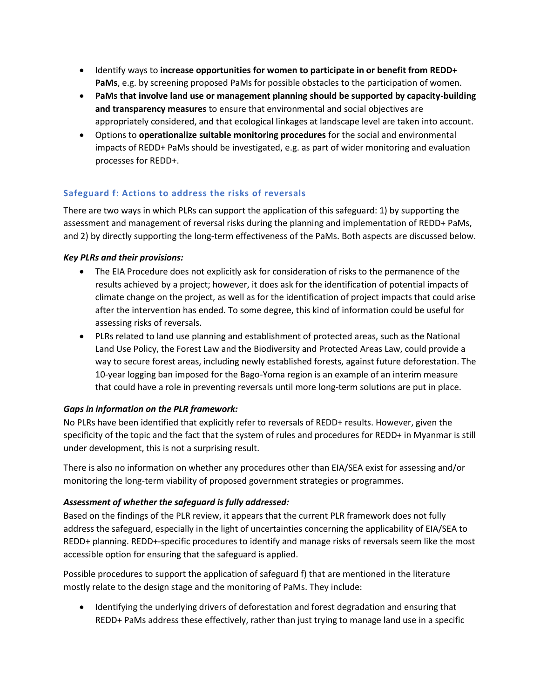- Identify ways to **increase opportunities for women to participate in or benefit from REDD+ PaMs**, e.g. by screening proposed PaMs for possible obstacles to the participation of women.
- **PaMs that involve land use or management planning should be supported by capacity-building and transparency measures** to ensure that environmental and social objectives are appropriately considered, and that ecological linkages at landscape level are taken into account.
- Options to **operationalize suitable monitoring procedures** for the social and environmental impacts of REDD+ PaMs should be investigated, e.g. as part of wider monitoring and evaluation processes for REDD+.

## <span id="page-30-0"></span>**Safeguard f: Actions to address the risks of reversals**

There are two ways in which PLRs can support the application of this safeguard: 1) by supporting the assessment and management of reversal risks during the planning and implementation of REDD+ PaMs, and 2) by directly supporting the long-term effectiveness of the PaMs. Both aspects are discussed below.

## *Key PLRs and their provisions:*

- The EIA Procedure does not explicitly ask for consideration of risks to the permanence of the results achieved by a project; however, it does ask for the identification of potential impacts of climate change on the project, as well as for the identification of project impacts that could arise after the intervention has ended. To some degree, this kind of information could be useful for assessing risks of reversals.
- PLRs related to land use planning and establishment of protected areas, such as the National Land Use Policy, the Forest Law and the Biodiversity and Protected Areas Law, could provide a way to secure forest areas, including newly established forests, against future deforestation. The 10-year logging ban imposed for the Bago-Yoma region is an example of an interim measure that could have a role in preventing reversals until more long-term solutions are put in place.

## *Gaps in information on the PLR framework:*

No PLRs have been identified that explicitly refer to reversals of REDD+ results. However, given the specificity of the topic and the fact that the system of rules and procedures for REDD+ in Myanmar is still under development, this is not a surprising result.

There is also no information on whether any procedures other than EIA/SEA exist for assessing and/or monitoring the long-term viability of proposed government strategies or programmes.

## *Assessment of whether the safeguard is fully addressed:*

Based on the findings of the PLR review, it appears that the current PLR framework does not fully address the safeguard, especially in the light of uncertainties concerning the applicability of EIA/SEA to REDD+ planning. REDD+-specific procedures to identify and manage risks of reversals seem like the most accessible option for ensuring that the safeguard is applied.

Possible procedures to support the application of safeguard f) that are mentioned in the literature mostly relate to the design stage and the monitoring of PaMs. They include:

 Identifying the underlying drivers of deforestation and forest degradation and ensuring that REDD+ PaMs address these effectively, rather than just trying to manage land use in a specific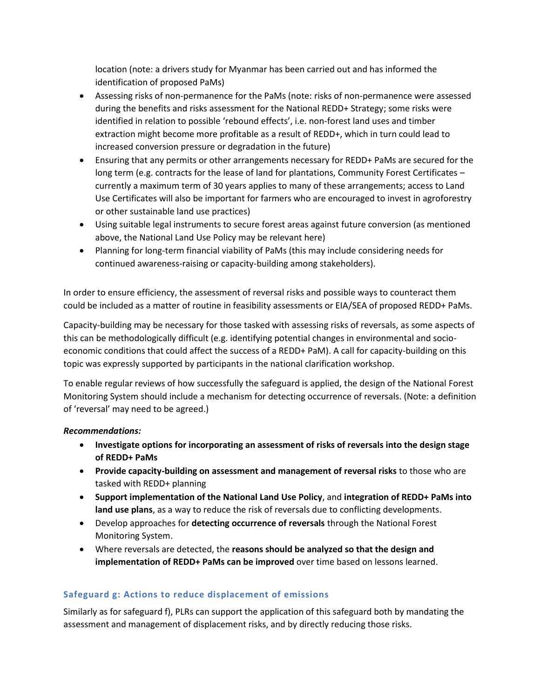location (note: a drivers study for Myanmar has been carried out and has informed the identification of proposed PaMs)

- Assessing risks of non-permanence for the PaMs (note: risks of non-permanence were assessed during the benefits and risks assessment for the National REDD+ Strategy; some risks were identified in relation to possible 'rebound effects', i.e. non-forest land uses and timber extraction might become more profitable as a result of REDD+, which in turn could lead to increased conversion pressure or degradation in the future)
- Ensuring that any permits or other arrangements necessary for REDD+ PaMs are secured for the long term (e.g. contracts for the lease of land for plantations, Community Forest Certificates – currently a maximum term of 30 years applies to many of these arrangements; access to Land Use Certificates will also be important for farmers who are encouraged to invest in agroforestry or other sustainable land use practices)
- Using suitable legal instruments to secure forest areas against future conversion (as mentioned above, the National Land Use Policy may be relevant here)
- Planning for long-term financial viability of PaMs (this may include considering needs for continued awareness-raising or capacity-building among stakeholders).

In order to ensure efficiency, the assessment of reversal risks and possible ways to counteract them could be included as a matter of routine in feasibility assessments or EIA/SEA of proposed REDD+ PaMs.

Capacity-building may be necessary for those tasked with assessing risks of reversals, as some aspects of this can be methodologically difficult (e.g. identifying potential changes in environmental and socioeconomic conditions that could affect the success of a REDD+ PaM). A call for capacity-building on this topic was expressly supported by participants in the national clarification workshop.

To enable regular reviews of how successfully the safeguard is applied, the design of the National Forest Monitoring System should include a mechanism for detecting occurrence of reversals. (Note: a definition of 'reversal' may need to be agreed.)

#### *Recommendations:*

- **Investigate options for incorporating an assessment of risks of reversals into the design stage of REDD+ PaMs**
- **Provide capacity-building on assessment and management of reversal risks** to those who are tasked with REDD+ planning
- **Support implementation of the National Land Use Policy**, and **integration of REDD+ PaMs into land use plans**, as a way to reduce the risk of reversals due to conflicting developments.
- Develop approaches for **detecting occurrence of reversals** through the National Forest Monitoring System.
- Where reversals are detected, the **reasons should be analyzed so that the design and implementation of REDD+ PaMs can be improved** over time based on lessons learned.

## <span id="page-31-0"></span>**Safeguard g: Actions to reduce displacement of emissions**

Similarly as for safeguard f), PLRs can support the application of this safeguard both by mandating the assessment and management of displacement risks, and by directly reducing those risks.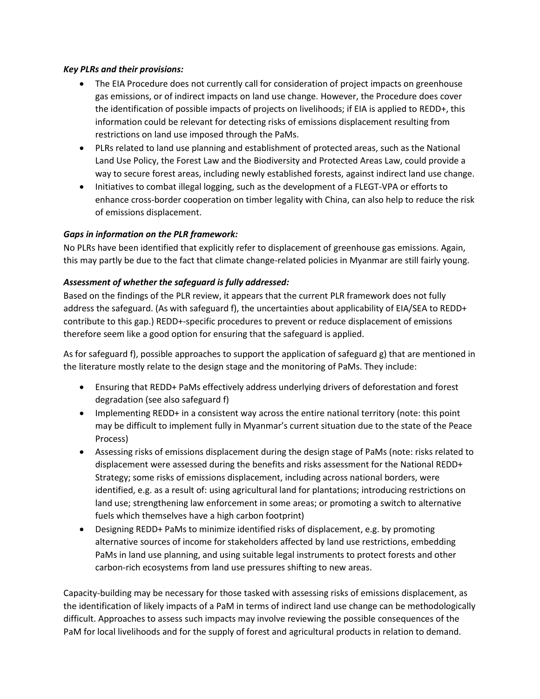#### *Key PLRs and their provisions:*

- The EIA Procedure does not currently call for consideration of project impacts on greenhouse gas emissions, or of indirect impacts on land use change. However, the Procedure does cover the identification of possible impacts of projects on livelihoods; if EIA is applied to REDD+, this information could be relevant for detecting risks of emissions displacement resulting from restrictions on land use imposed through the PaMs.
- PLRs related to land use planning and establishment of protected areas, such as the National Land Use Policy, the Forest Law and the Biodiversity and Protected Areas Law, could provide a way to secure forest areas, including newly established forests, against indirect land use change.
- Initiatives to combat illegal logging, such as the development of a FLEGT-VPA or efforts to enhance cross-border cooperation on timber legality with China, can also help to reduce the risk of emissions displacement.

#### *Gaps in information on the PLR framework:*

No PLRs have been identified that explicitly refer to displacement of greenhouse gas emissions. Again, this may partly be due to the fact that climate change-related policies in Myanmar are still fairly young.

#### *Assessment of whether the safeguard is fully addressed:*

Based on the findings of the PLR review, it appears that the current PLR framework does not fully address the safeguard. (As with safeguard f), the uncertainties about applicability of EIA/SEA to REDD+ contribute to this gap.) REDD+-specific procedures to prevent or reduce displacement of emissions therefore seem like a good option for ensuring that the safeguard is applied.

As for safeguard f), possible approaches to support the application of safeguard g) that are mentioned in the literature mostly relate to the design stage and the monitoring of PaMs. They include:

- Ensuring that REDD+ PaMs effectively address underlying drivers of deforestation and forest degradation (see also safeguard f)
- Implementing REDD+ in a consistent way across the entire national territory (note: this point may be difficult to implement fully in Myanmar's current situation due to the state of the Peace Process)
- Assessing risks of emissions displacement during the design stage of PaMs (note: risks related to displacement were assessed during the benefits and risks assessment for the National REDD+ Strategy; some risks of emissions displacement, including across national borders, were identified, e.g. as a result of: using agricultural land for plantations; introducing restrictions on land use; strengthening law enforcement in some areas; or promoting a switch to alternative fuels which themselves have a high carbon footprint)
- Designing REDD+ PaMs to minimize identified risks of displacement, e.g. by promoting alternative sources of income for stakeholders affected by land use restrictions, embedding PaMs in land use planning, and using suitable legal instruments to protect forests and other carbon-rich ecosystems from land use pressures shifting to new areas.

Capacity-building may be necessary for those tasked with assessing risks of emissions displacement, as the identification of likely impacts of a PaM in terms of indirect land use change can be methodologically difficult. Approaches to assess such impacts may involve reviewing the possible consequences of the PaM for local livelihoods and for the supply of forest and agricultural products in relation to demand.